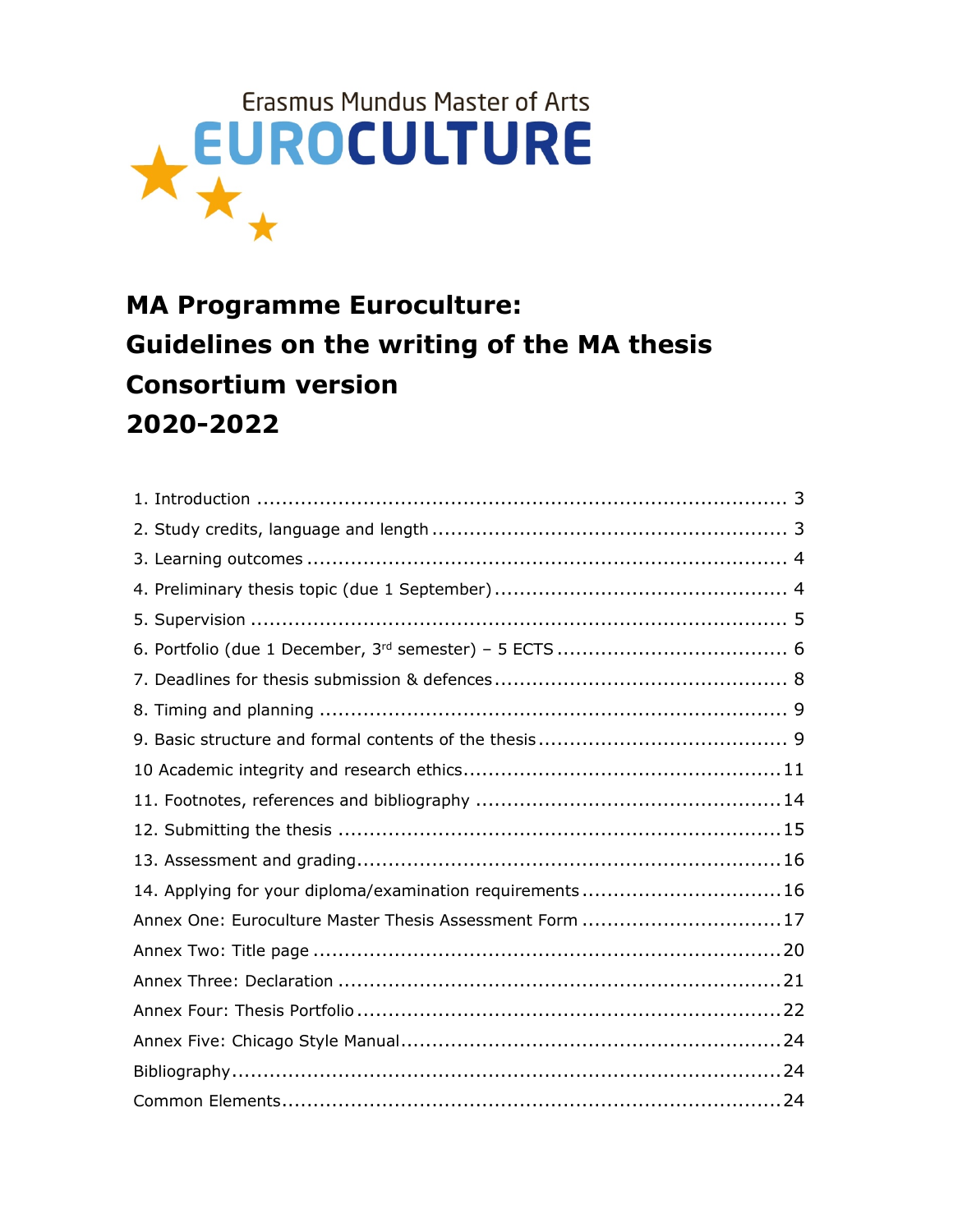

# **MA Programme Euroculture: Guidelines on the writing of the MA thesis Consortium version 2020-2022**

| 14. Applying for your diploma/examination requirements16 |  |
|----------------------------------------------------------|--|
| Annex One: Euroculture Master Thesis Assessment Form 17  |  |
|                                                          |  |
|                                                          |  |
|                                                          |  |
|                                                          |  |
|                                                          |  |
|                                                          |  |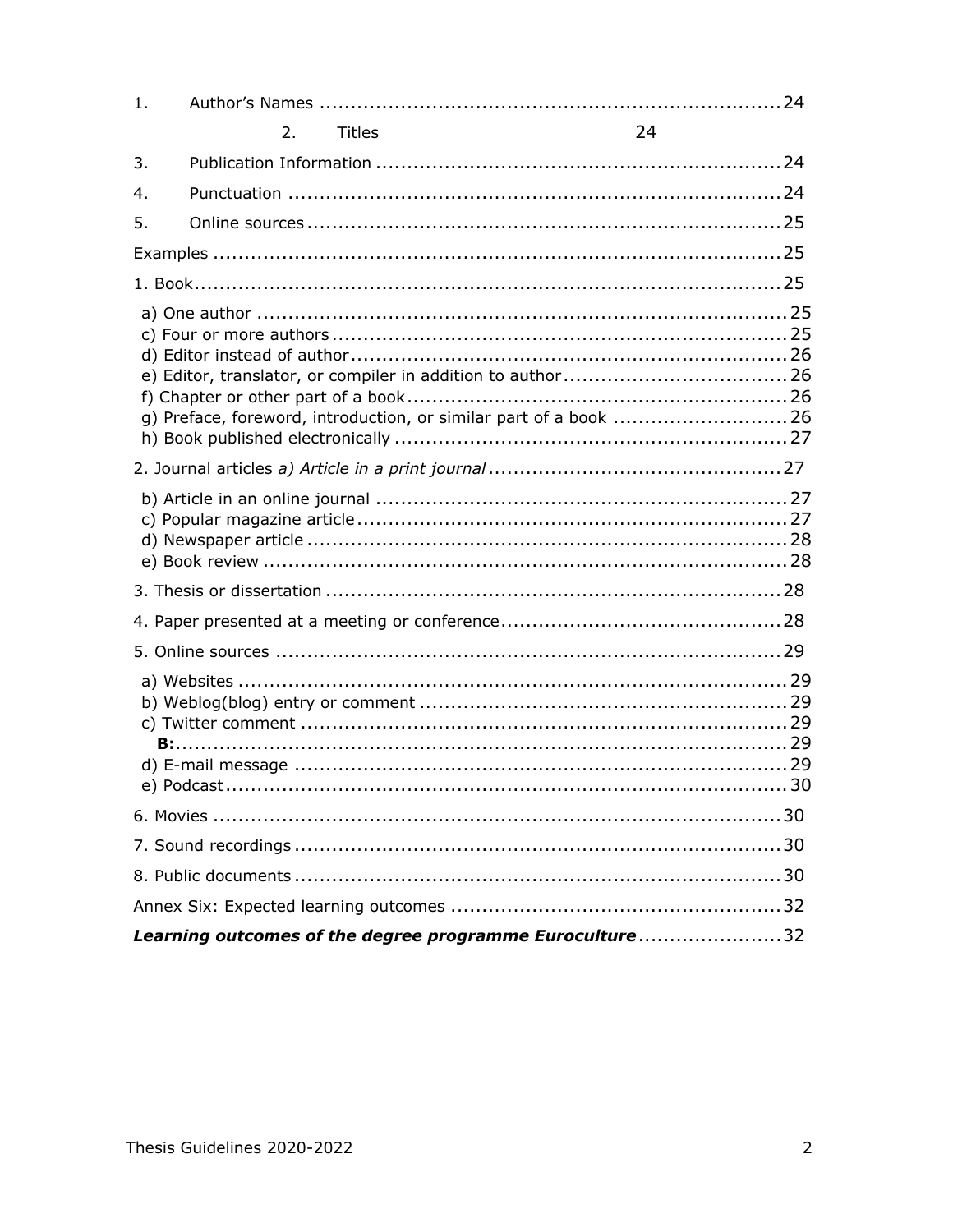| 1. |    |               |                                                                  |  |
|----|----|---------------|------------------------------------------------------------------|--|
|    | 2. | <b>Titles</b> | 24                                                               |  |
| 3. |    |               |                                                                  |  |
| 4. |    |               |                                                                  |  |
| 5. |    |               |                                                                  |  |
|    |    |               |                                                                  |  |
|    |    |               |                                                                  |  |
|    |    |               | g) Preface, foreword, introduction, or similar part of a book 26 |  |
|    |    |               |                                                                  |  |
|    |    |               |                                                                  |  |
|    |    |               |                                                                  |  |
|    |    |               |                                                                  |  |
|    |    |               |                                                                  |  |
|    |    |               |                                                                  |  |
|    |    |               |                                                                  |  |
|    |    |               |                                                                  |  |
|    |    |               |                                                                  |  |
|    |    |               |                                                                  |  |
|    |    |               | Learning outcomes of the degree programme Euroculture32          |  |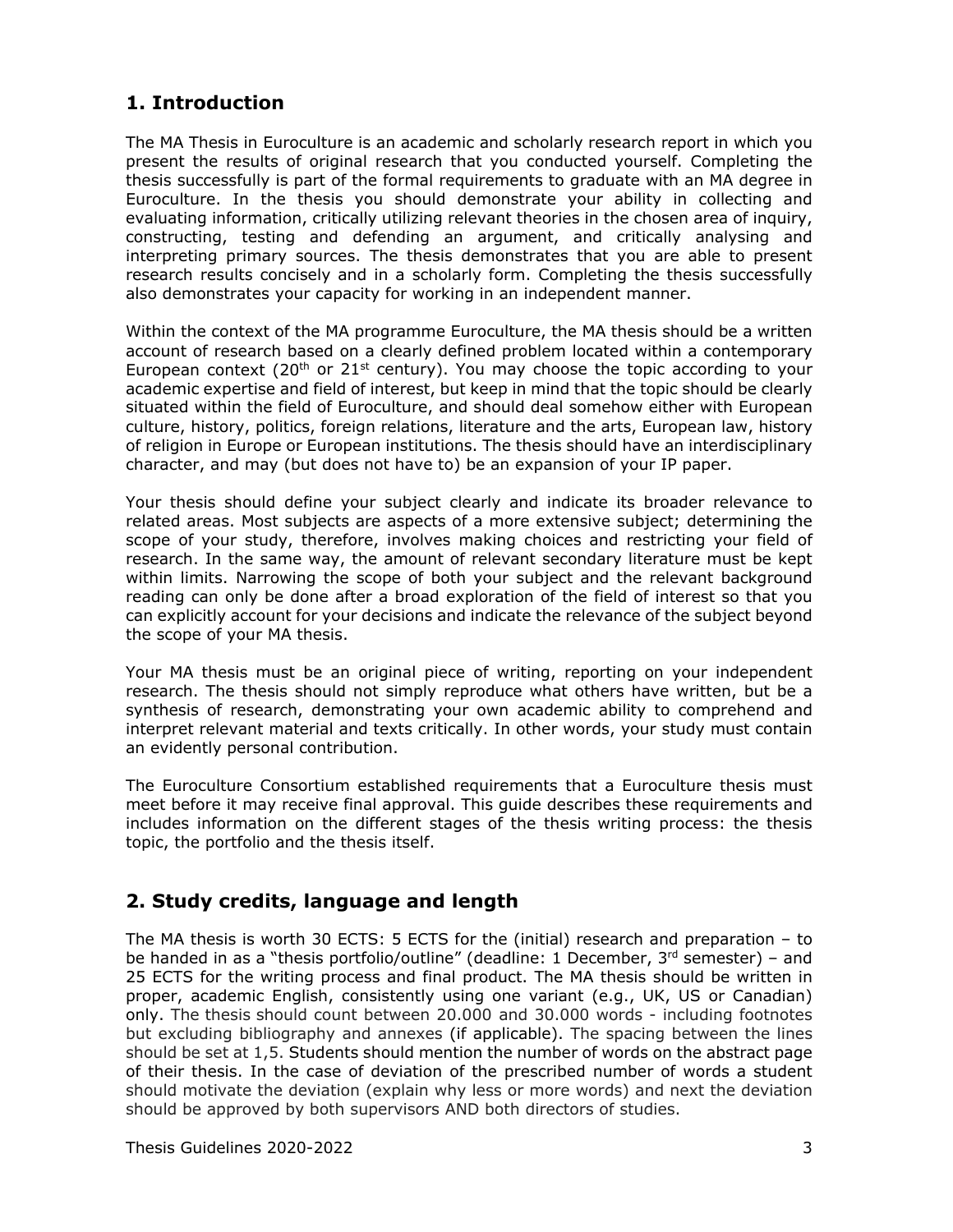## <span id="page-2-0"></span>**1. Introduction**

The MA Thesis in Euroculture is an academic and scholarly research report in which you present the results of original research that you conducted yourself. Completing the thesis successfully is part of the formal requirements to graduate with an MA degree in Euroculture. In the thesis you should demonstrate your ability in collecting and evaluating information, critically utilizing relevant theories in the chosen area of inquiry, constructing, testing and defending an argument, and critically analysing and interpreting primary sources. The thesis demonstrates that you are able to present research results concisely and in a scholarly form. Completing the thesis successfully also demonstrates your capacity for working in an independent manner.

Within the context of the MA programme Euroculture, the MA thesis should be a written account of research based on a clearly defined problem located within a contemporary European context (20<sup>th</sup> or 21<sup>st</sup> century). You may choose the topic according to your academic expertise and field of interest, but keep in mind that the topic should be clearly situated within the field of Euroculture, and should deal somehow either with European culture, history, politics, foreign relations, literature and the arts, European law, history of religion in Europe or European institutions. The thesis should have an interdisciplinary character, and may (but does not have to) be an expansion of your IP paper.

Your thesis should define your subject clearly and indicate its broader relevance to related areas. Most subjects are aspects of a more extensive subject; determining the scope of your study, therefore, involves making choices and restricting your field of research. In the same way, the amount of relevant secondary literature must be kept within limits. Narrowing the scope of both your subject and the relevant background reading can only be done after a broad exploration of the field of interest so that you can explicitly account for your decisions and indicate the relevance of the subject beyond the scope of your MA thesis.

Your MA thesis must be an original piece of writing, reporting on your independent research. The thesis should not simply reproduce what others have written, but be a synthesis of research, demonstrating your own academic ability to comprehend and interpret relevant material and texts critically. In other words, your study must contain an evidently personal contribution.

The Euroculture Consortium established requirements that a Euroculture thesis must meet before it may receive final approval. This guide describes these requirements and includes information on the different stages of the thesis writing process: the thesis topic, the portfolio and the thesis itself.

## <span id="page-2-1"></span>**2. Study credits, language and length**

The MA thesis is worth 30 ECTS: 5 ECTS for the (initial) research and preparation – to be handed in as a "thesis portfolio/outline" (deadline: 1 December,  $3<sup>rd</sup>$  semester) – and 25 ECTS for the writing process and final product. The MA thesis should be written in proper, academic English, consistently using one variant (e.g., UK, US or Canadian) only. The thesis should count between 20.000 and 30.000 words - including footnotes but excluding bibliography and annexes (if applicable). The spacing between the lines should be set at 1,5. Students should mention the number of words on the abstract page of their thesis. In the case of deviation of the prescribed number of words a student should motivate the deviation (explain why less or more words) and next the deviation should be approved by both supervisors AND both directors of studies.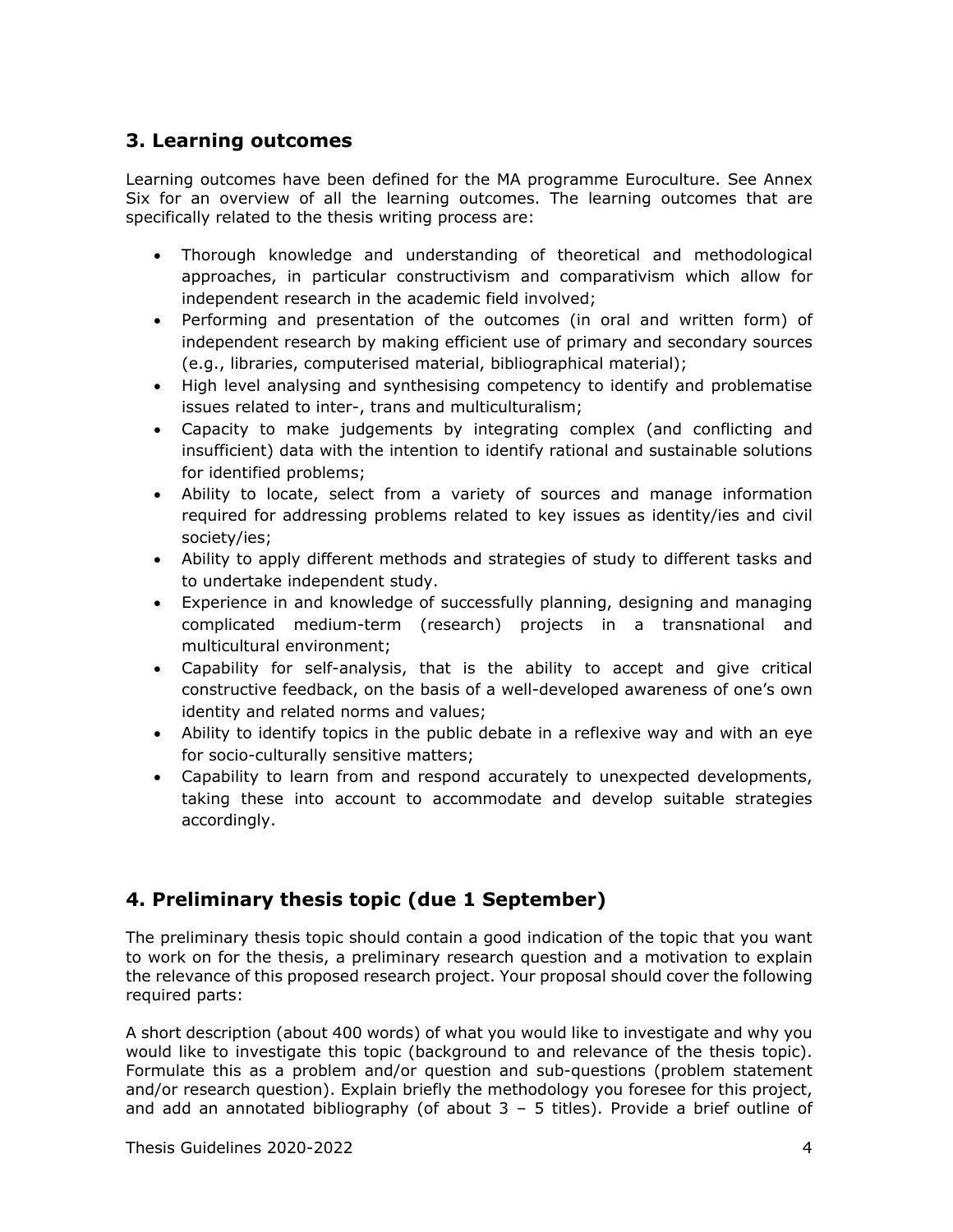## <span id="page-3-0"></span>**3. Learning outcomes**

Learning outcomes have been defined for the MA programme Euroculture. See Annex Six for an overview of all the learning outcomes. The learning outcomes that are specifically related to the thesis writing process are:

- Thorough knowledge and understanding of theoretical and methodological approaches, in particular constructivism and comparativism which allow for independent research in the academic field involved;
- Performing and presentation of the outcomes (in oral and written form) of independent research by making efficient use of primary and secondary sources (e.g., libraries, computerised material, bibliographical material);
- High level analysing and synthesising competency to identify and problematise issues related to inter-, trans and multiculturalism;
- Capacity to make judgements by integrating complex (and conflicting and insufficient) data with the intention to identify rational and sustainable solutions for identified problems;
- Ability to locate, select from a variety of sources and manage information required for addressing problems related to key issues as identity/ies and civil society/ies;
- Ability to apply different methods and strategies of study to different tasks and to undertake independent study.
- Experience in and knowledge of successfully planning, designing and managing complicated medium-term (research) projects in a transnational and multicultural environment;
- Capability for self-analysis, that is the ability to accept and give critical constructive feedback, on the basis of a well-developed awareness of one's own identity and related norms and values;
- Ability to identify topics in the public debate in a reflexive way and with an eye for socio-culturally sensitive matters;
- Capability to learn from and respond accurately to unexpected developments, taking these into account to accommodate and develop suitable strategies accordingly.

## <span id="page-3-1"></span>**4. Preliminary thesis topic (due 1 September)**

The preliminary thesis topic should contain a good indication of the topic that you want to work on for the thesis, a preliminary research question and a motivation to explain the relevance of this proposed research project. Your proposal should cover the following required parts:

A short description (about 400 words) of what you would like to investigate and why you would like to investigate this topic (background to and relevance of the thesis topic). Formulate this as a problem and/or question and sub-questions (problem statement and/or research question). Explain briefly the methodology you foresee for this project, and add an annotated bibliography (of about  $3 - 5$  titles). Provide a brief outline of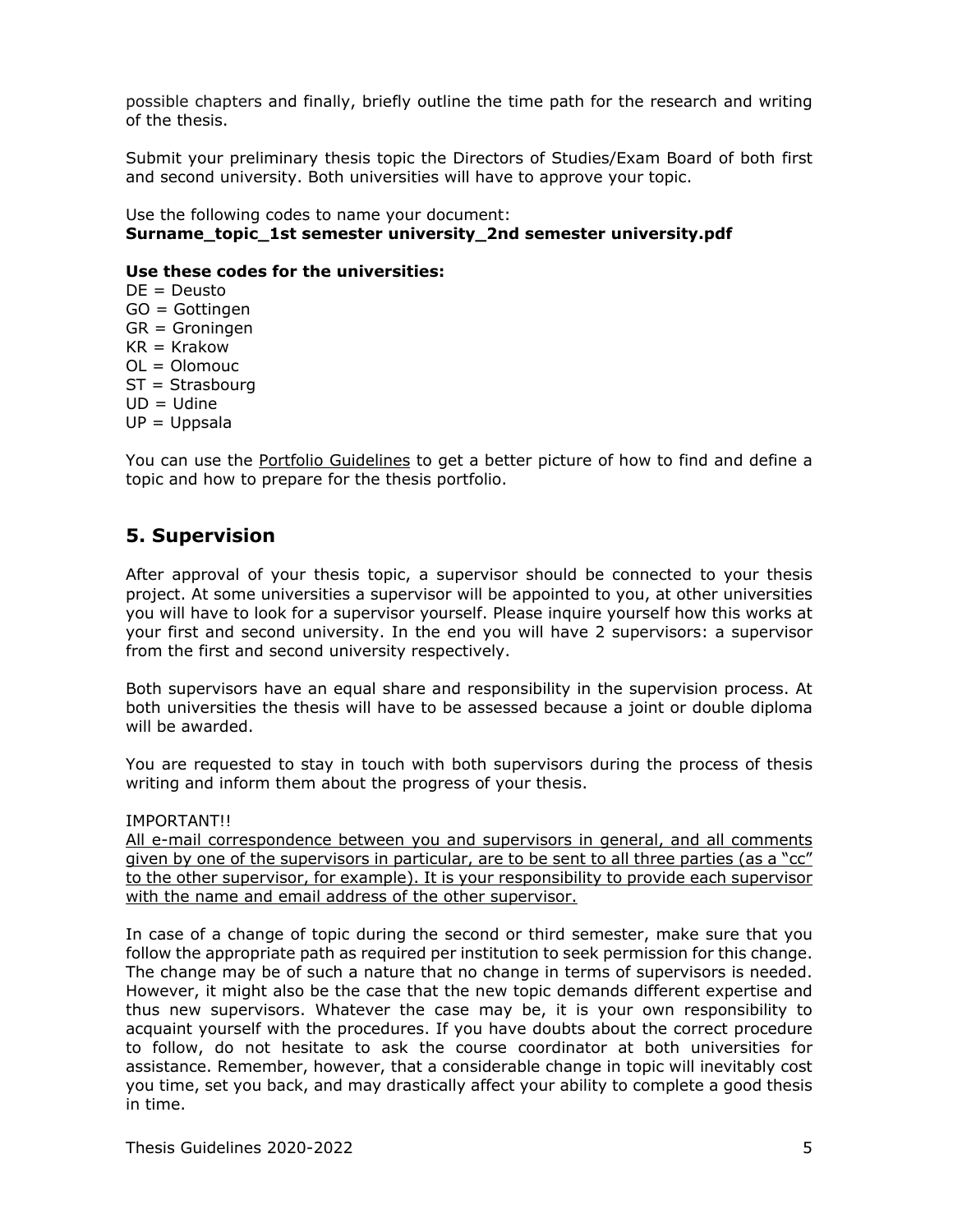possible chapters and finally, briefly outline the time path for the research and writing of the thesis.

Submit your preliminary thesis topic the Directors of Studies/Exam Board of both first and second university. Both universities will have to approve your topic.

Use the following codes to name your document: **Surname\_topic\_1st semester university\_2nd semester university.pdf**

### **Use these codes for the universities:**

DE = Deusto GO = Gottingen GR = Groningen  $KR = Krakov$  $OL = Olomouc$ ST = Strasbourg UD = Udine  $UP = Uppsala$ 

You can use the Portfolio Guidelines to get a better picture of how to find and define a topic and how to prepare for the thesis portfolio.

### <span id="page-4-0"></span>**5. Supervision**

After approval of your thesis topic, a supervisor should be connected to your thesis project. At some universities a supervisor will be appointed to you, at other universities you will have to look for a supervisor yourself. Please inquire yourself how this works at your first and second university. In the end you will have 2 supervisors: a supervisor from the first and second university respectively.

Both supervisors have an equal share and responsibility in the supervision process. At both universities the thesis will have to be assessed because a joint or double diploma will be awarded.

You are requested to stay in touch with both supervisors during the process of thesis writing and inform them about the progress of your thesis.

IMPORTANT!!

All e-mail correspondence between you and supervisors in general, and all comments given by one of the supervisors in particular, are to be sent to all three parties (as a "cc" to the other supervisor, for example). It is your responsibility to provide each supervisor with the name and email address of the other supervisor.

In case of a change of topic during the second or third semester, make sure that you follow the appropriate path as required per institution to seek permission for this change. The change may be of such a nature that no change in terms of supervisors is needed. However, it might also be the case that the new topic demands different expertise and thus new supervisors. Whatever the case may be, it is your own responsibility to acquaint yourself with the procedures. If you have doubts about the correct procedure to follow, do not hesitate to ask the course coordinator at both universities for assistance. Remember, however, that a considerable change in topic will inevitably cost you time, set you back, and may drastically affect your ability to complete a good thesis in time.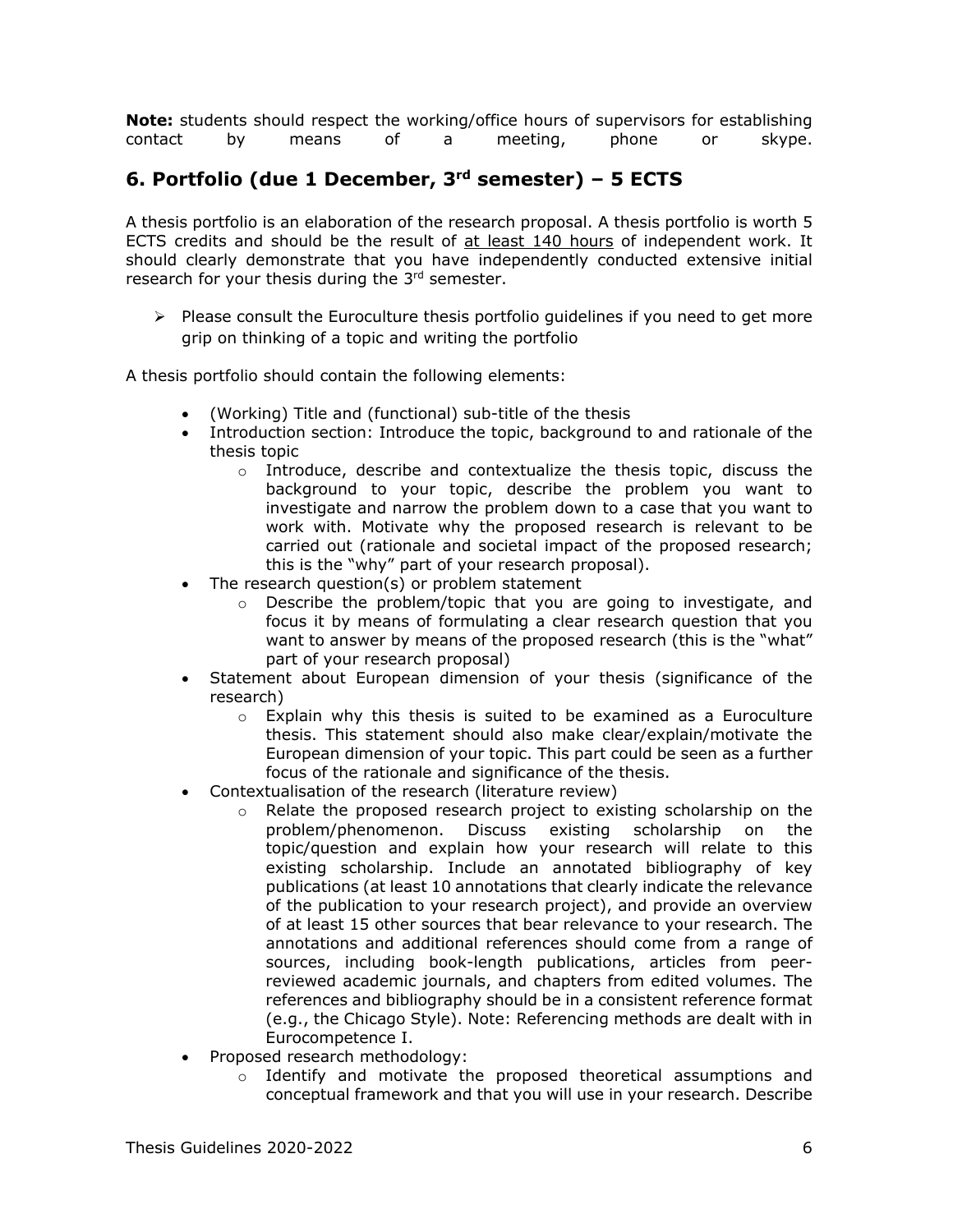**Note:** students should respect the working/office hours of supervisors for establishing contact by means of a meeting, phone or skype.

## <span id="page-5-0"></span>**6. Portfolio (due 1 December, 3rd semester) – 5 ECTS**

A thesis portfolio is an elaboration of the research proposal. A thesis portfolio is worth 5 ECTS credits and should be the result of at least 140 hours of independent work. It should clearly demonstrate that you have independently conducted extensive initial research for your thesis during the 3<sup>rd</sup> semester.

 $\triangleright$  Please consult the Euroculture thesis portfolio guidelines if you need to get more grip on thinking of a topic and writing the portfolio

A thesis portfolio should contain the following elements:

- (Working) Title and (functional) sub-title of the thesis
- Introduction section: Introduce the topic, background to and rationale of the thesis topic
	- o Introduce, describe and contextualize the thesis topic, discuss the background to your topic, describe the problem you want to investigate and narrow the problem down to a case that you want to work with. Motivate why the proposed research is relevant to be carried out (rationale and societal impact of the proposed research; this is the "why" part of your research proposal).
- The research question(s) or problem statement
	- $\circ$  Describe the problem/topic that you are going to investigate, and focus it by means of formulating a clear research question that you want to answer by means of the proposed research (this is the "what" part of your research proposal)
- Statement about European dimension of your thesis (significance of the research)
	- $\circ$  Explain why this thesis is suited to be examined as a Euroculture thesis. This statement should also make clear/explain/motivate the European dimension of your topic. This part could be seen as a further focus of the rationale and significance of the thesis.
- Contextualisation of the research (literature review)
	- o Relate the proposed research project to existing scholarship on the problem/phenomenon. Discuss existing scholarship on the problem/phenomenon. topic/question and explain how your research will relate to this existing scholarship. Include an annotated bibliography of key publications (at least 10 annotations that clearly indicate the relevance of the publication to your research project), and provide an overview of at least 15 other sources that bear relevance to your research. The annotations and additional references should come from a range of sources, including book-length publications, articles from peerreviewed academic journals, and chapters from edited volumes. The references and bibliography should be in a consistent reference format (e.g., the Chicago Style). Note: Referencing methods are dealt with in Eurocompetence I.
- Proposed research methodology:
	- $\circ$  Identify and motivate the proposed theoretical assumptions and conceptual framework and that you will use in your research. Describe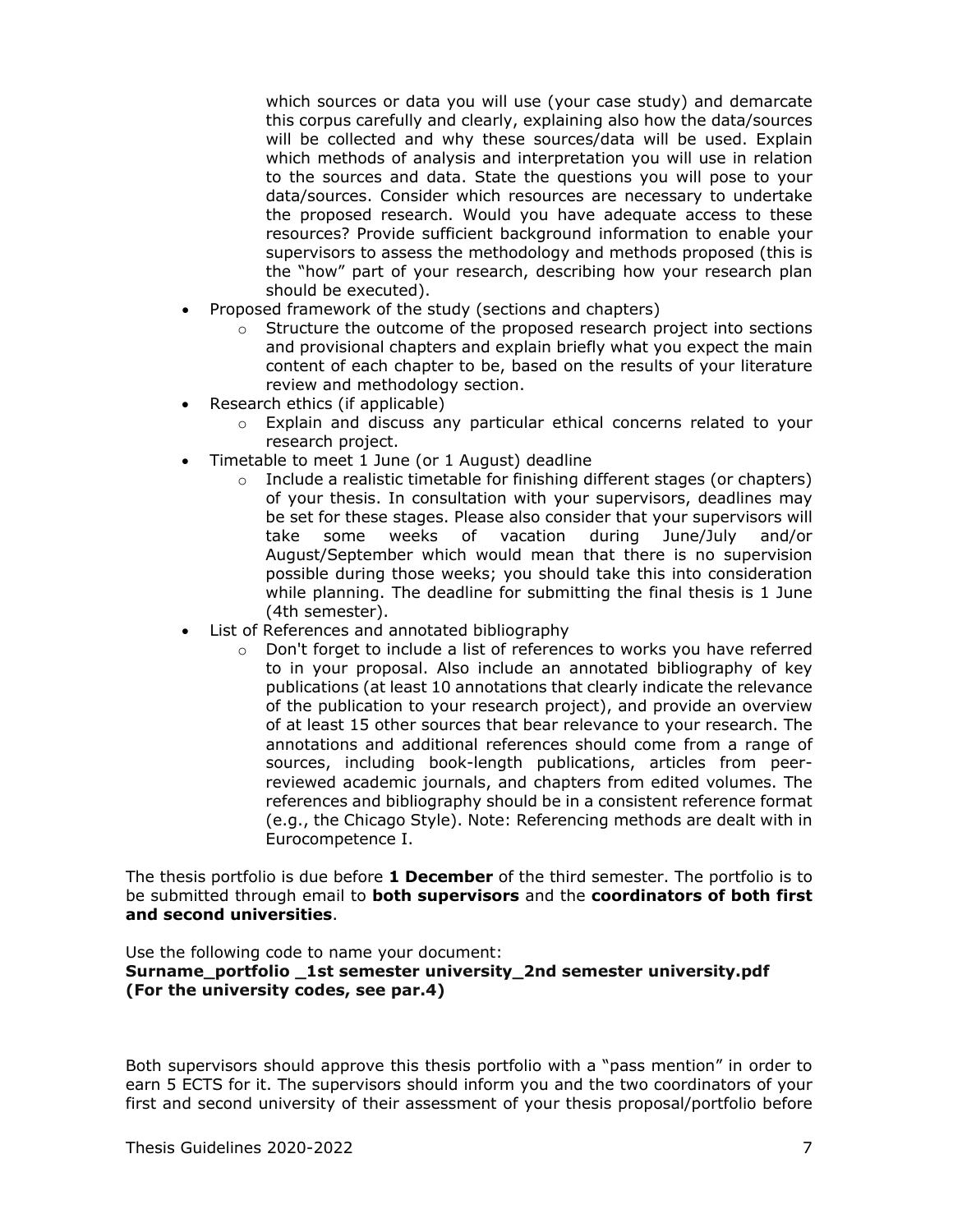which sources or data you will use (your case study) and demarcate this corpus carefully and clearly, explaining also how the data/sources will be collected and why these sources/data will be used. Explain which methods of analysis and interpretation you will use in relation to the sources and data. State the questions you will pose to your data/sources. Consider which resources are necessary to undertake the proposed research. Would you have adequate access to these resources? Provide sufficient background information to enable your supervisors to assess the methodology and methods proposed (this is the "how" part of your research, describing how your research plan should be executed).

- Proposed framework of the study (sections and chapters)
	- $\circ$  Structure the outcome of the proposed research project into sections and provisional chapters and explain briefly what you expect the main content of each chapter to be, based on the results of your literature review and methodology section.
- Research ethics (if applicable)
	- $\circ$  Explain and discuss any particular ethical concerns related to your research project.
- Timetable to meet 1 June (or 1 August) deadline
	- o Include a realistic timetable for finishing different stages (or chapters) of your thesis. In consultation with your supervisors, deadlines may be set for these stages. Please also consider that your supervisors will take some weeks of vacation during June/July and/or some weeks of vacation during June/July and/or August/September which would mean that there is no supervision possible during those weeks; you should take this into consideration while planning. The deadline for submitting the final thesis is 1 June (4th semester).
- List of References and annotated bibliography
	- o Don't forget to include a list of references to works you have referred to in your proposal. Also include an annotated bibliography of key publications (at least 10 annotations that clearly indicate the relevance of the publication to your research project), and provide an overview of at least 15 other sources that bear relevance to your research. The annotations and additional references should come from a range of sources, including book-length publications, articles from peerreviewed academic journals, and chapters from edited volumes. The references and bibliography should be in a consistent reference format (e.g., the Chicago Style). Note: Referencing methods are dealt with in Eurocompetence I.

The thesis portfolio is due before **1 December** of the third semester. The portfolio is to be submitted through email to **both supervisors** and the **coordinators of both first and second universities**.

Use the following code to name your document: **Surname\_portfolio \_1st semester university\_2nd semester university.pdf (For the university codes, see par.4)**

Both supervisors should approve this thesis portfolio with a "pass mention" in order to earn 5 ECTS for it. The supervisors should inform you and the two coordinators of your first and second university of their assessment of your thesis proposal/portfolio before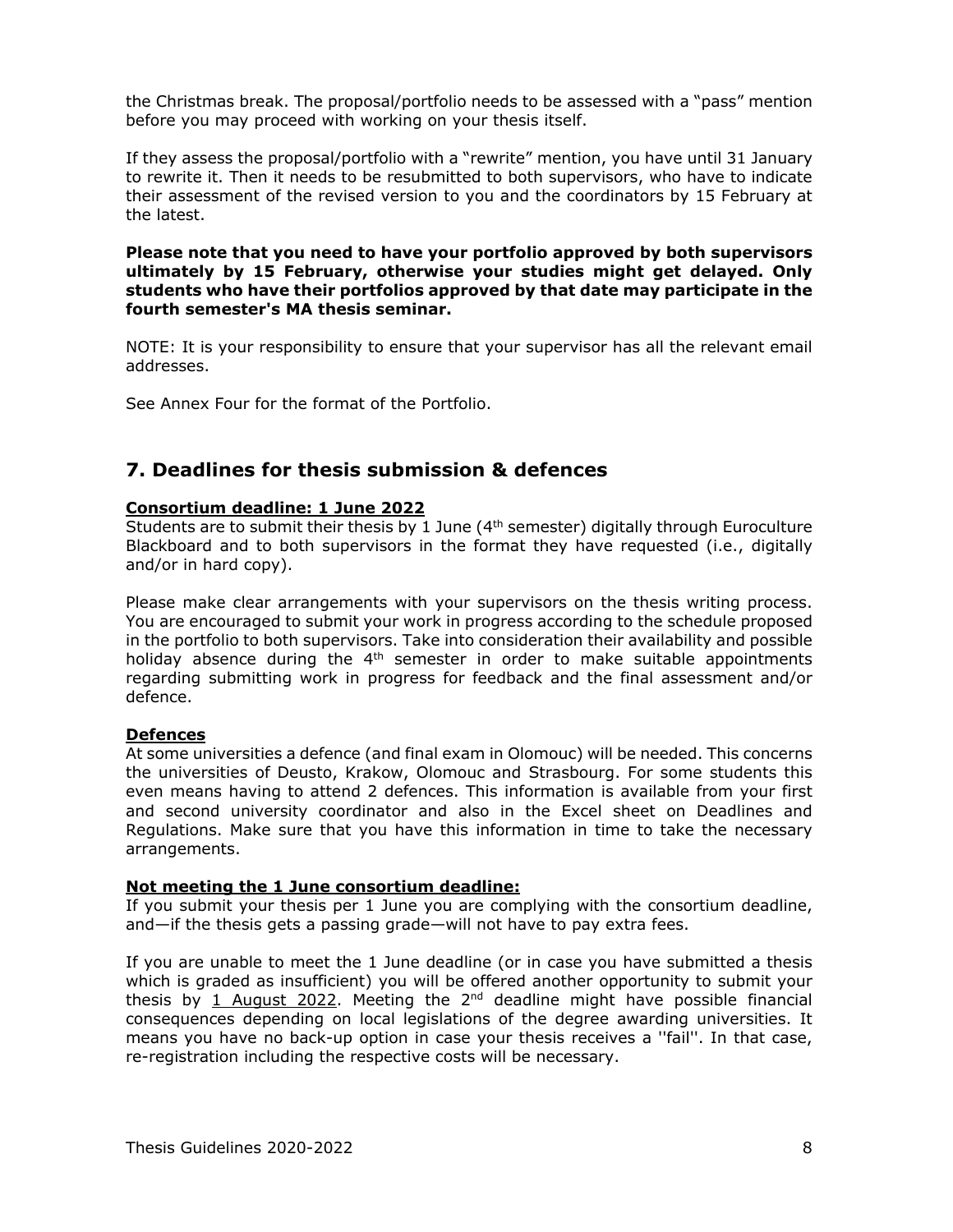the Christmas break. The proposal/portfolio needs to be assessed with a "pass" mention before you may proceed with working on your thesis itself.

If they assess the proposal/portfolio with a "rewrite" mention, you have until 31 January to rewrite it. Then it needs to be resubmitted to both supervisors, who have to indicate their assessment of the revised version to you and the coordinators by 15 February at the latest.

**Please note that you need to have your portfolio approved by both supervisors ultimately by 15 February, otherwise your studies might get delayed. Only students who have their portfolios approved by that date may participate in the fourth semester's MA thesis seminar.**

NOTE: It is your responsibility to ensure that your supervisor has all the relevant email addresses.

See Annex Four for the format of the Portfolio.

### <span id="page-7-0"></span>**7. Deadlines for thesis submission & defences**

### **Consortium deadline: 1 June 2022**

Students are to submit their thesis by 1 June  $(4<sup>th</sup>$  semester) digitally through Euroculture Blackboard and to both supervisors in the format they have requested (i.e., digitally and/or in hard copy).

Please make clear arrangements with your supervisors on the thesis writing process. You are encouraged to submit your work in progress according to the schedule proposed in the portfolio to both supervisors. Take into consideration their availability and possible holiday absence during the  $4<sup>th</sup>$  semester in order to make suitable appointments regarding submitting work in progress for feedback and the final assessment and/or defence.

### **Defences**

At some universities a defence (and final exam in Olomouc) will be needed. This concerns the universities of Deusto, Krakow, Olomouc and Strasbourg. For some students this even means having to attend 2 defences. This information is available from your first and second university coordinator and also in the Excel sheet on Deadlines and Regulations. Make sure that you have this information in time to take the necessary arrangements.

### **Not meeting the 1 June consortium deadline:**

If you submit your thesis per 1 June you are complying with the consortium deadline, and—if the thesis gets a passing grade—will not have to pay extra fees.

If you are unable to meet the 1 June deadline (or in case you have submitted a thesis which is graded as insufficient) you will be offered another opportunity to submit your thesis by 1 August 2022. Meeting the  $2<sup>nd</sup>$  deadline might have possible financial consequences depending on local legislations of the degree awarding universities. It means you have no back-up option in case your thesis receives a ''fail''. In that case, re-registration including the respective costs will be necessary.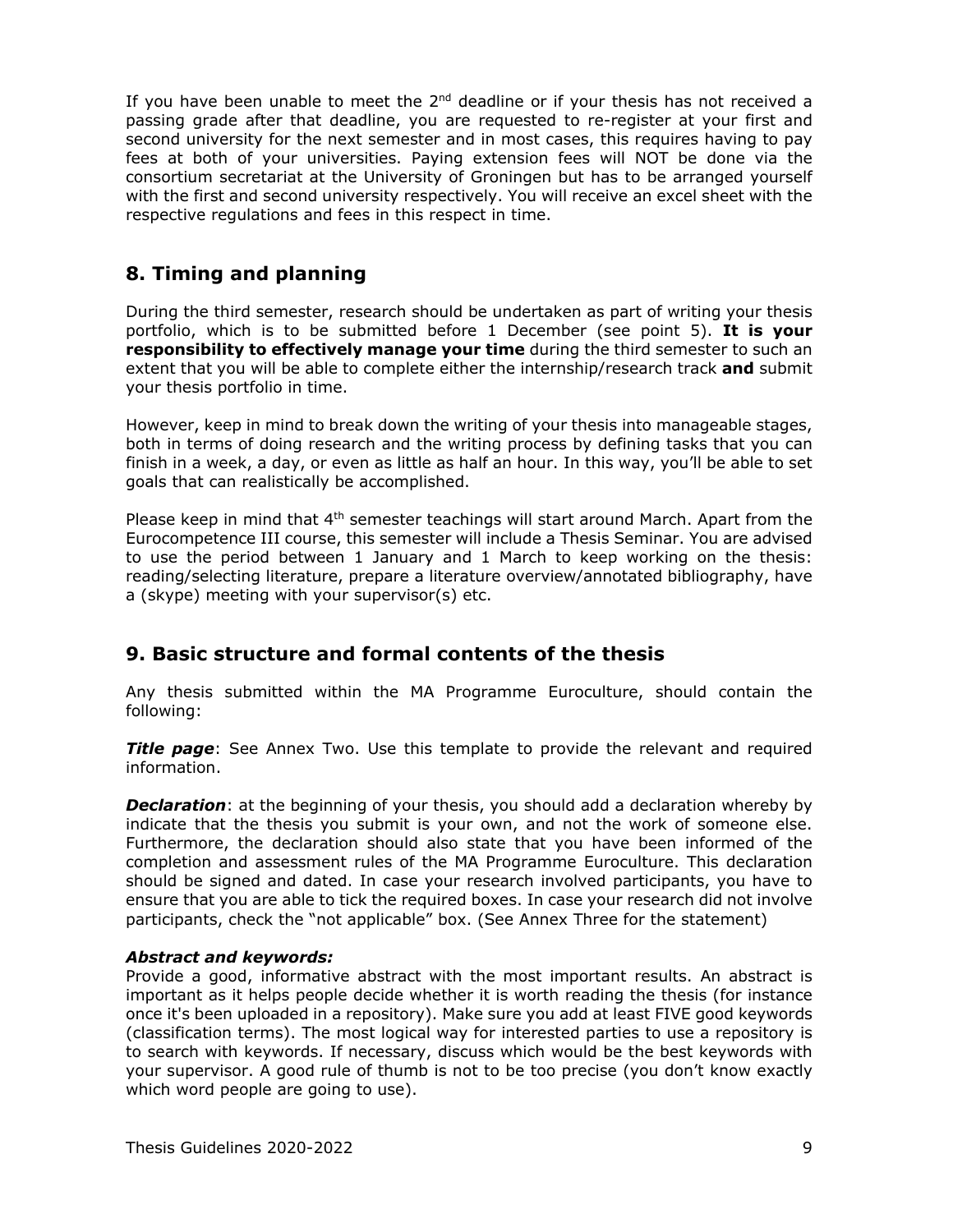If you have been unable to meet the  $2^{nd}$  deadline or if your thesis has not received a passing grade after that deadline, you are requested to re-register at your first and second university for the next semester and in most cases, this requires having to pay fees at both of your universities. Paying extension fees will NOT be done via the consortium secretariat at the University of Groningen but has to be arranged yourself with the first and second university respectively. You will receive an excel sheet with the respective regulations and fees in this respect in time.

## <span id="page-8-0"></span>**8. Timing and planning**

During the third semester, research should be undertaken as part of writing your thesis portfolio, which is to be submitted before 1 December (see point 5). **It is your responsibility to effectively manage your time** during the third semester to such an extent that you will be able to complete either the internship/research track **and** submit your thesis portfolio in time.

However, keep in mind to break down the writing of your thesis into manageable stages, both in terms of doing research and the writing process by defining tasks that you can finish in a week, a day, or even as little as half an hour. In this way, you'll be able to set goals that can realistically be accomplished.

Please keep in mind that 4<sup>th</sup> semester teachings will start around March. Apart from the Eurocompetence III course, this semester will include a Thesis Seminar. You are advised to use the period between 1 January and 1 March to keep working on the thesis: reading/selecting literature, prepare a literature overview/annotated bibliography, have a (skype) meeting with your supervisor(s) etc.

## <span id="page-8-1"></span>**9. Basic structure and formal contents of the thesis**

Any thesis submitted within the MA Programme Euroculture, should contain the following:

*Title page*: See Annex Two. Use this template to provide the relevant and required information.

**Declaration**: at the beginning of your thesis, you should add a declaration whereby by indicate that the thesis you submit is your own, and not the work of someone else. Furthermore, the declaration should also state that you have been informed of the completion and assessment rules of the MA Programme Euroculture. This declaration should be signed and dated. In case your research involved participants, you have to ensure that you are able to tick the required boxes. In case your research did not involve participants, check the "not applicable" box. (See Annex Three for the statement)

### *Abstract and keywords:*

Provide a good, informative abstract with the most important results. An abstract is important as it helps people decide whether it is worth reading the thesis (for instance once it's been uploaded in a repository). Make sure you add at least FIVE good keywords (classification terms). The most logical way for interested parties to use a repository is to search with keywords. If necessary, discuss which would be the best keywords with your supervisor. A good rule of thumb is not to be too precise (you don't know exactly which word people are going to use).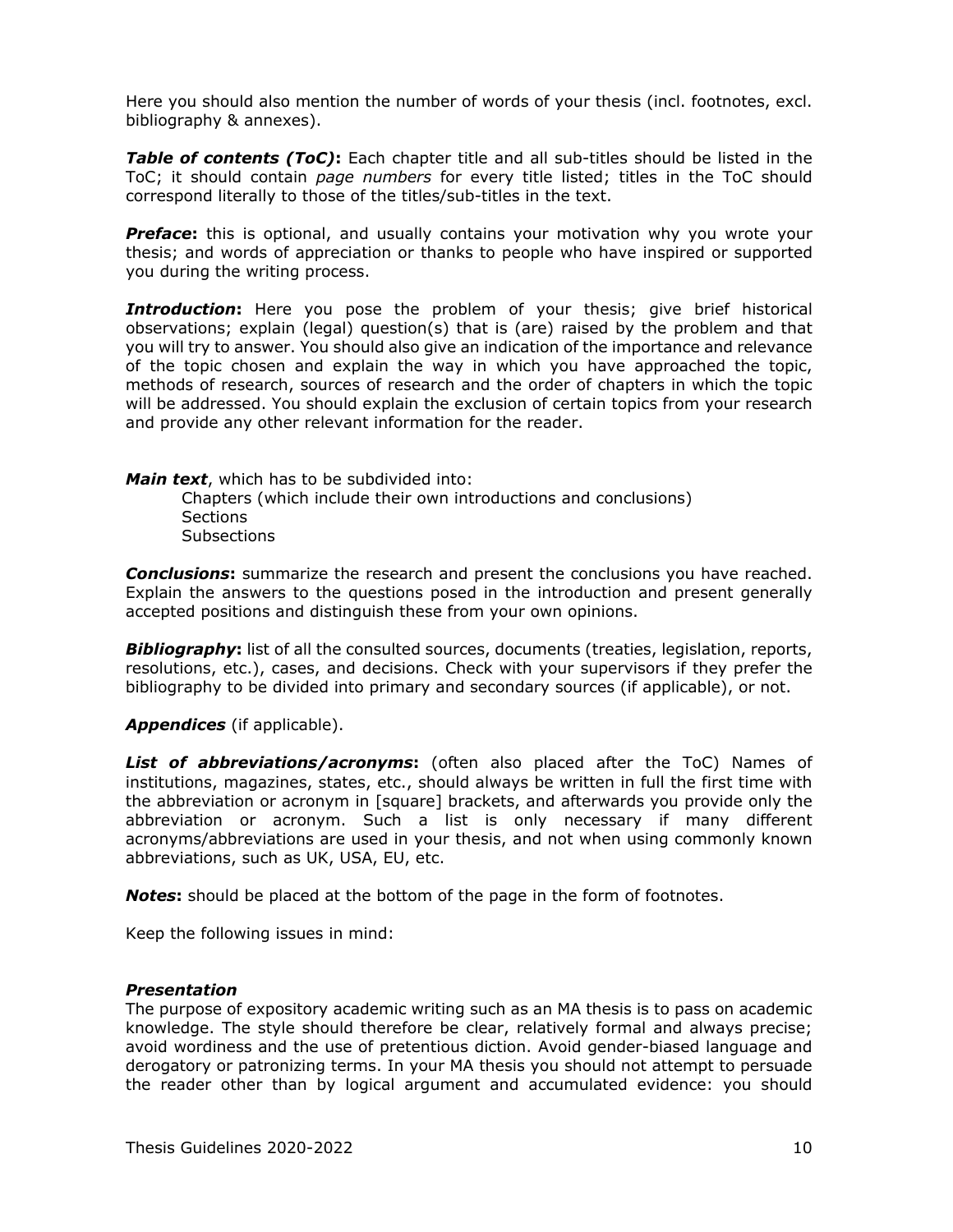Here you should also mention the number of words of your thesis (incl. footnotes, excl. bibliography & annexes).

*Table of contents (ToC)***:** Each chapter title and all sub-titles should be listed in the ToC; it should contain *page numbers* for every title listed; titles in the ToC should correspond literally to those of the titles/sub-titles in the text.

*Preface***:** this is optional, and usually contains your motivation why you wrote your thesis; and words of appreciation or thanks to people who have inspired or supported you during the writing process.

**Introduction:** Here you pose the problem of your thesis; give brief historical observations; explain (legal) question(s) that is (are) raised by the problem and that you will try to answer. You should also give an indication of the importance and relevance of the topic chosen and explain the way in which you have approached the topic, methods of research, sources of research and the order of chapters in which the topic will be addressed. You should explain the exclusion of certain topics from your research and provide any other relevant information for the reader.

*Main text*, which has to be subdivided into:

Chapters (which include their own introductions and conclusions) Sections **Subsections** 

*Conclusions***:** summarize the research and present the conclusions you have reached. Explain the answers to the questions posed in the introduction and present generally accepted positions and distinguish these from your own opinions.

**Bibliography**: list of all the consulted sources, documents (treaties, legislation, reports, resolutions, etc.), cases, and decisions. Check with your supervisors if they prefer the bibliography to be divided into primary and secondary sources (if applicable), or not.

*Appendices* (if applicable).

*List of abbreviations/acronyms***:** (often also placed after the ToC) Names of institutions, magazines, states, etc., should always be written in full the first time with the abbreviation or acronym in [square] brackets, and afterwards you provide only the abbreviation or acronym. Such a list is only necessary if many different acronyms/abbreviations are used in your thesis, and not when using commonly known abbreviations, such as UK, USA, EU, etc.

*Notes***:** should be placed at the bottom of the page in the form of footnotes.

Keep the following issues in mind:

### *Presentation*

The purpose of expository academic writing such as an MA thesis is to pass on academic knowledge. The style should therefore be clear, relatively formal and always precise; avoid wordiness and the use of pretentious diction. Avoid gender-biased language and derogatory or patronizing terms. In your MA thesis you should not attempt to persuade the reader other than by logical argument and accumulated evidence: you should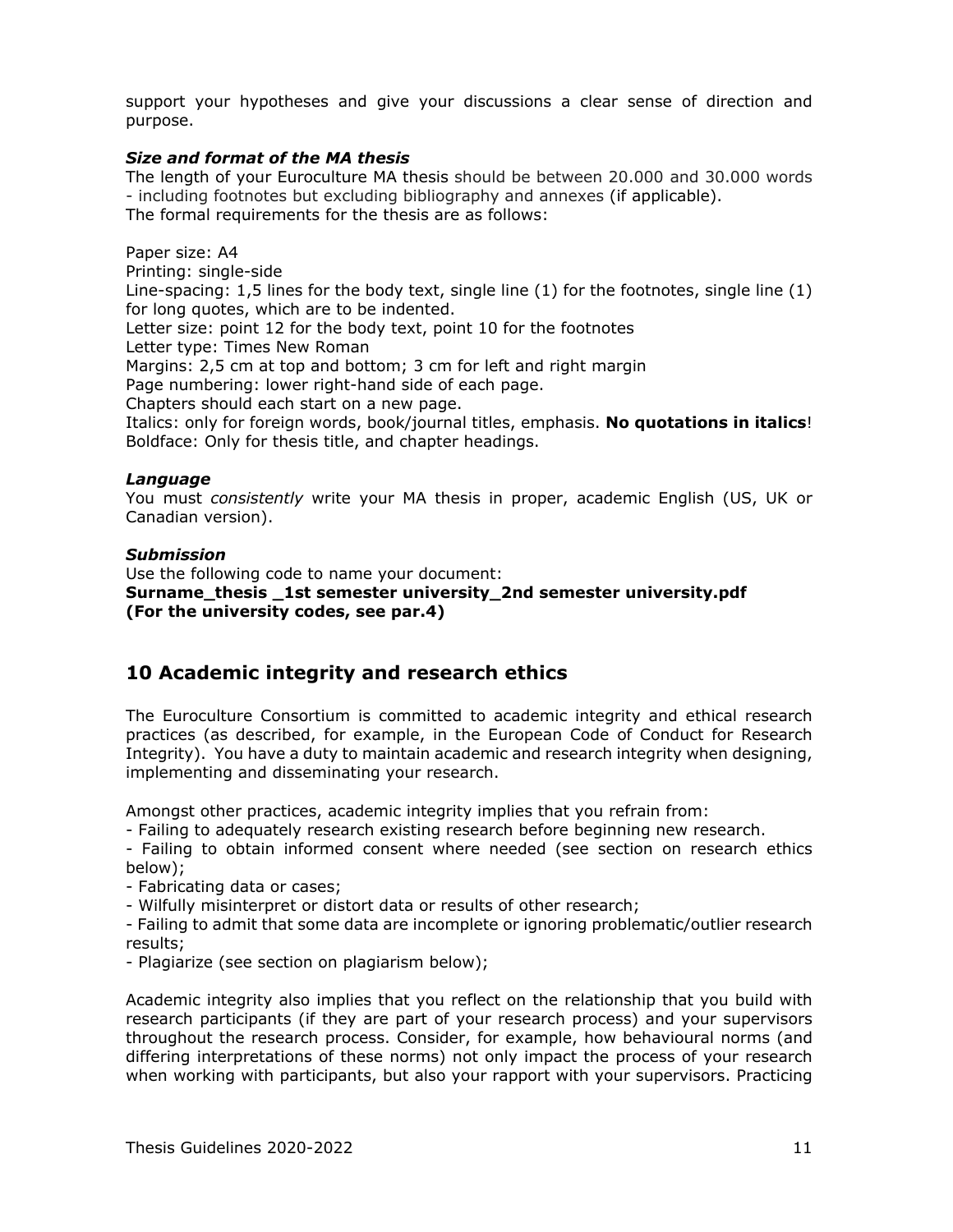support your hypotheses and give your discussions a clear sense of direction and purpose.

### *Size and format of the MA thesis*

The length of your Euroculture MA thesis should be between 20.000 and 30.000 words - including footnotes but excluding bibliography and annexes (if applicable). The formal requirements for the thesis are as follows:

Paper size: A4

Printing: single-side

Line-spacing: 1,5 lines for the body text, single line (1) for the footnotes, single line (1) for long quotes, which are to be indented.

Letter size: point 12 for the body text, point 10 for the footnotes

Letter type: Times New Roman

Margins: 2,5 cm at top and bottom; 3 cm for left and right margin

Page numbering: lower right-hand side of each page.

Chapters should each start on a new page.

Italics: only for foreign words, book/journal titles, emphasis. **No quotations in italics**! Boldface: Only for thesis title, and chapter headings.

### *Language*

You must *consistently* write your MA thesis in proper, academic English (US, UK or Canadian version).

### *Submission*

Use the following code to name your document: **Surname\_thesis \_1st semester university\_2nd semester university.pdf (For the university codes, see par.4)**

### <span id="page-10-0"></span>**10 Academic integrity and research ethics**

The Euroculture Consortium is committed to academic integrity and ethical research practices (as described, for example, in the European Code of Conduct for Research Integrity). You have a duty to maintain academic and research integrity when designing, implementing and disseminating your research.

Amongst other practices, academic integrity implies that you refrain from:

- Failing to adequately research existing research before beginning new research.

- Failing to obtain informed consent where needed (see section on research ethics below);

- Fabricating data or cases;

- Wilfully misinterpret or distort data or results of other research;

- Failing to admit that some data are incomplete or ignoring problematic/outlier research results;

- Plagiarize (see section on plagiarism below);

Academic integrity also implies that you reflect on the relationship that you build with research participants (if they are part of your research process) and your supervisors throughout the research process. Consider, for example, how behavioural norms (and differing interpretations of these norms) not only impact the process of your research when working with participants, but also your rapport with your supervisors. Practicing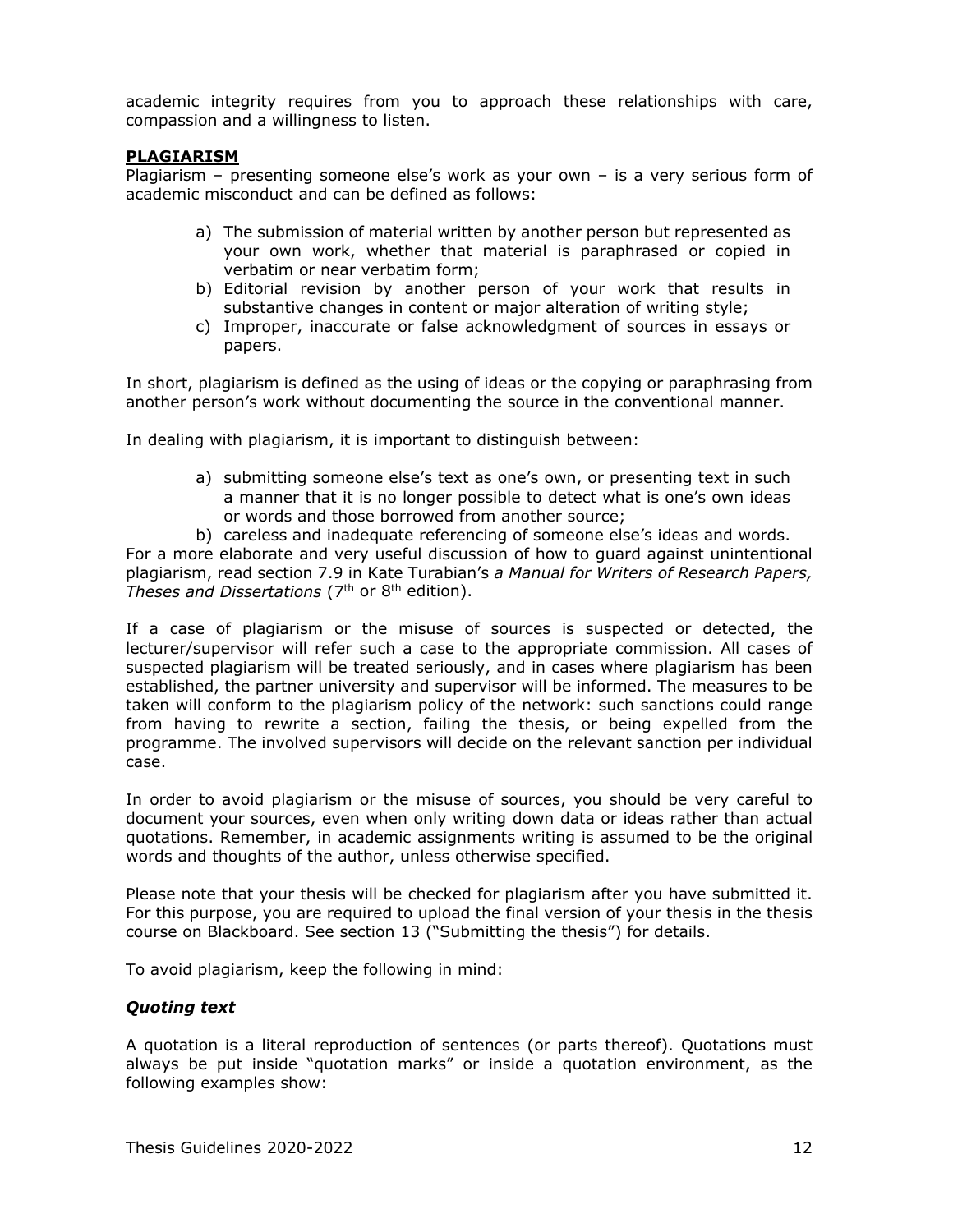academic integrity requires from you to approach these relationships with care, compassion and a willingness to listen.

### **PLAGIARISM**

Plagiarism – presenting someone else's work as your own – is a very serious form of academic misconduct and can be defined as follows:

- a) The submission of material written by another person but represented as your own work, whether that material is paraphrased or copied in verbatim or near verbatim form;
- b) Editorial revision by another person of your work that results in substantive changes in content or major alteration of writing style;
- c) Improper, inaccurate or false acknowledgment of sources in essays or papers.

In short, plagiarism is defined as the using of ideas or the copying or paraphrasing from another person's work without documenting the source in the conventional manner.

In dealing with plagiarism, it is important to distinguish between:

- a) submitting someone else's text as one's own, or presenting text in such a manner that it is no longer possible to detect what is one's own ideas or words and those borrowed from another source;
- b) careless and inadequate referencing of someone else's ideas and words.

For a more elaborate and very useful discussion of how to guard against unintentional plagiarism, read section 7.9 in Kate Turabian's *a Manual for Writers of Research Papers, Theses and Dissertations* (7th or 8th edition).

If a case of plagiarism or the misuse of sources is suspected or detected, the lecturer/supervisor will refer such a case to the appropriate commission. All cases of suspected plagiarism will be treated seriously, and in cases where plagiarism has been established, the partner university and supervisor will be informed. The measures to be taken will conform to the plagiarism policy of the network: such sanctions could range from having to rewrite a section, failing the thesis, or being expelled from the programme. The involved supervisors will decide on the relevant sanction per individual case.

In order to avoid plagiarism or the misuse of sources, you should be very careful to document your sources, even when only writing down data or ideas rather than actual quotations. Remember, in academic assignments writing is assumed to be the original words and thoughts of the author, unless otherwise specified.

Please note that your thesis will be checked for plagiarism after you have submitted it. For this purpose, you are required to upload the final version of your thesis in the thesis course on Blackboard. See section 13 ("Submitting the thesis") for details.

### To avoid plagiarism, keep the following in mind:

### *Quoting text*

A quotation is a literal reproduction of sentences (or parts thereof). Quotations must always be put inside "quotation marks" or inside a quotation environment, as the following examples show: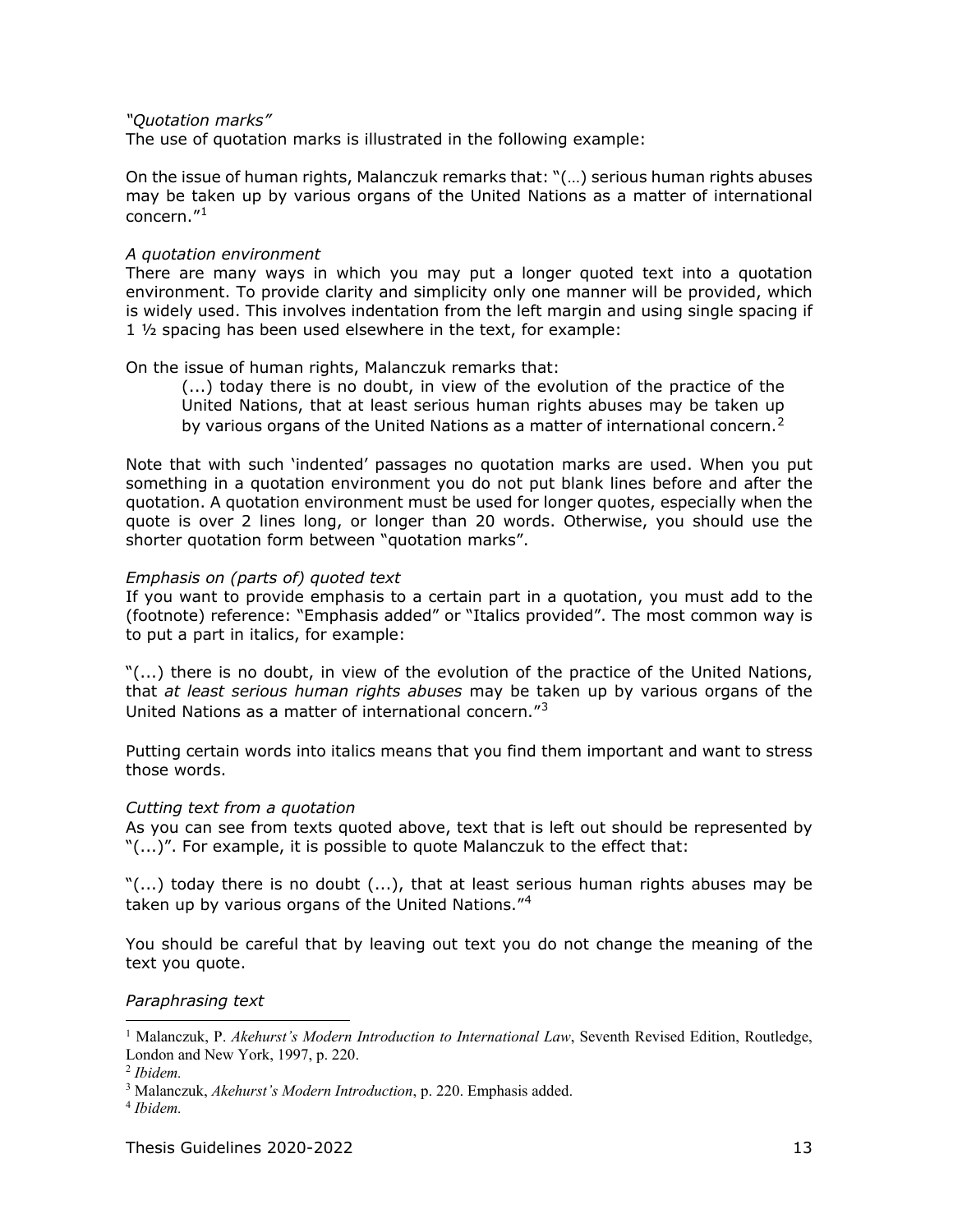*"Quotation marks"*

The use of quotation marks is illustrated in the following example:

On the issue of human rights, Malanczuk remarks that: "(…) serious human rights abuses may be taken up by various organs of the United Nations as a matter of international concern."[1](#page-12-0)

### *A quotation environment*

There are many ways in which you may put a longer quoted text into a quotation environment. To provide clarity and simplicity only one manner will be provided, which is widely used. This involves indentation from the left margin and using single spacing if 1 ½ spacing has been used elsewhere in the text, for example:

### On the issue of human rights, Malanczuk remarks that:

(...) today there is no doubt, in view of the evolution of the practice of the United Nations, that at least serious human rights abuses may be taken up by various organs of the United Nations as a matter of international concern.<sup>[2](#page-12-1)</sup>

Note that with such 'indented' passages no quotation marks are used. When you put something in a quotation environment you do not put blank lines before and after the quotation. A quotation environment must be used for longer quotes, especially when the quote is over 2 lines long, or longer than 20 words. Otherwise, you should use the shorter quotation form between "quotation marks".

### *Emphasis on (parts of) quoted text*

If you want to provide emphasis to a certain part in a quotation, you must add to the (footnote) reference: "Emphasis added" or "Italics provided". The most common way is to put a part in italics, for example:

"(...) there is no doubt, in view of the evolution of the practice of the United Nations, that *at least serious human rights abuses* may be taken up by various organs of the United Nations as a matter of international concern."[3](#page-12-2)

Putting certain words into italics means that you find them important and want to stress those words.

### *Cutting text from a quotation*

As you can see from texts quoted above, text that is left out should be represented by "(...)". For example, it is possible to quote Malanczuk to the effect that:

 $\Gamma$ (...) today there is no doubt (...), that at least serious human rights abuses may be taken up by various organs of the United Nations."<sup>[4](#page-12-3)</sup>

You should be careful that by leaving out text you do not change the meaning of the text you quote.

### *Paraphrasing text*

<span id="page-12-0"></span><sup>&</sup>lt;sup>1</sup> Malanczuk, P. *Akehurst's Modern Introduction to International Law*, Seventh Revised Edition, Routledge, London and New York, 1997, p. 220.

<span id="page-12-1"></span><sup>2</sup> *Ibidem.*

<span id="page-12-2"></span><sup>3</sup> Malanczuk, *Akehurst's Modern Introduction*, p. 220. Emphasis added.

<span id="page-12-3"></span><sup>4</sup> *Ibidem.*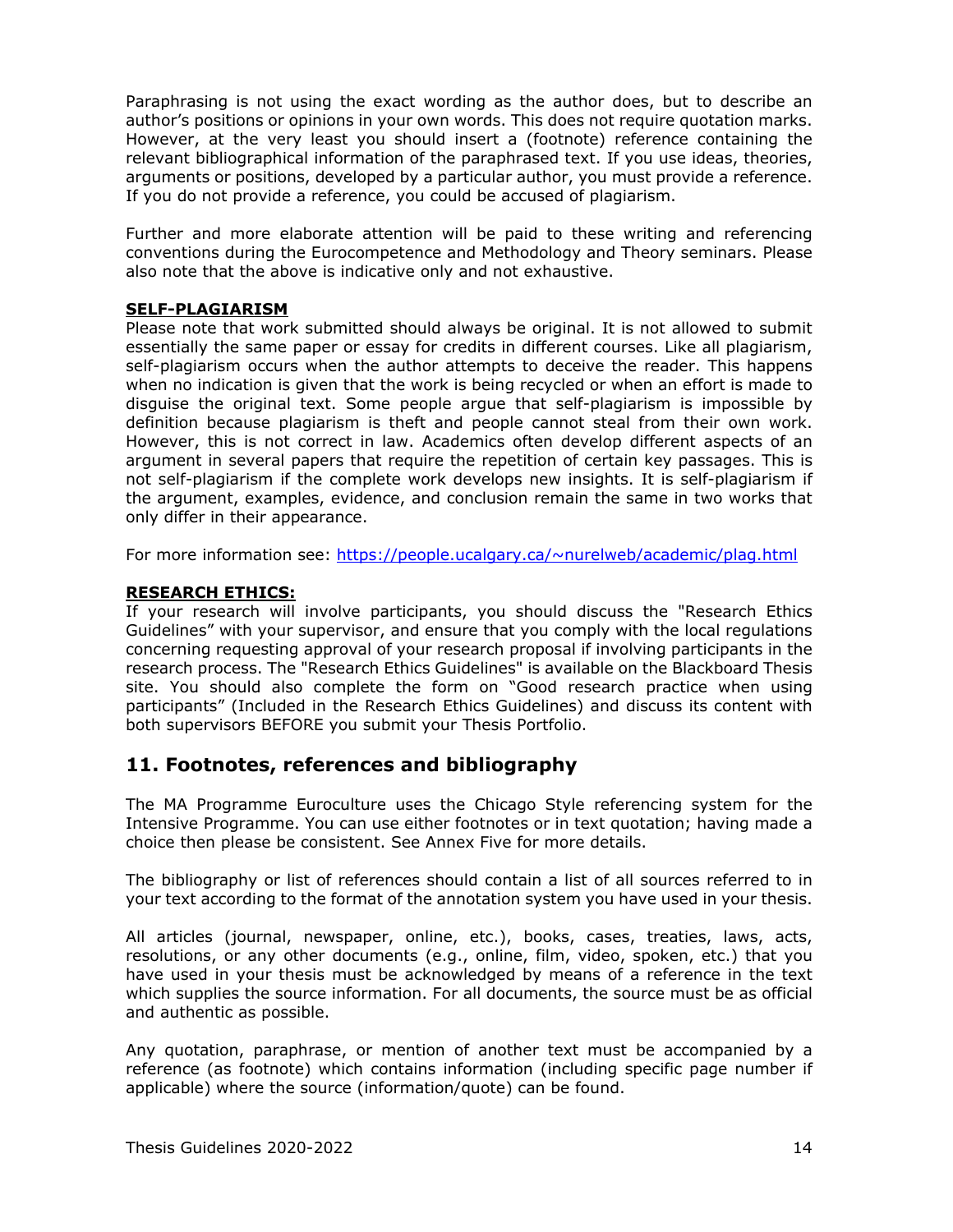Paraphrasing is not using the exact wording as the author does, but to describe an author's positions or opinions in your own words. This does not require quotation marks. However, at the very least you should insert a (footnote) reference containing the relevant bibliographical information of the paraphrased text. If you use ideas, theories, arguments or positions, developed by a particular author, you must provide a reference. If you do not provide a reference, you could be accused of plagiarism.

Further and more elaborate attention will be paid to these writing and referencing conventions during the Eurocompetence and Methodology and Theory seminars. Please also note that the above is indicative only and not exhaustive.

### **SELF-PLAGIARISM**

Please note that work submitted should always be original. It is not allowed to submit essentially the same paper or essay for credits in different courses. Like all plagiarism, self-plagiarism occurs when the author attempts to deceive the reader. This happens when no indication is given that the work is being recycled or when an effort is made to disguise the original text. Some people argue that self-plagiarism is impossible by definition because plagiarism is theft and people cannot steal from their own work. However, this is not correct in law. Academics often develop different aspects of an argument in several papers that require the repetition of certain key passages. This is not self-plagiarism if the complete work develops new insights. It is self-plagiarism if the argument, examples, evidence, and conclusion remain the same in two works that only differ in their appearance.

For more information see: [https://people.ucalgary.ca/~nurelweb/academic/plag.html](https://people.ucalgary.ca/%7Enurelweb/academic/plag.html)

### **RESEARCH ETHICS:**

If your research will involve participants, you should discuss the "Research Ethics Guidelines" with your supervisor, and ensure that you comply with the local regulations concerning requesting approval of your research proposal if involving participants in the research process. The "Research Ethics Guidelines" is available on the Blackboard Thesis site. You should also complete the form on "Good research practice when using participants" (Included in the Research Ethics Guidelines) and discuss its content with both supervisors BEFORE you submit your Thesis Portfolio.

## <span id="page-13-0"></span>**11. Footnotes, references and bibliography**

The MA Programme Euroculture uses the Chicago Style referencing system for the Intensive Programme. You can use either footnotes or in text quotation; having made a choice then please be consistent. See Annex Five for more details.

The bibliography or list of references should contain a list of all sources referred to in your text according to the format of the annotation system you have used in your thesis.

All articles (journal, newspaper, online, etc.), books, cases, treaties, laws, acts, resolutions, or any other documents (e.g., online, film, video, spoken, etc.) that you have used in your thesis must be acknowledged by means of a reference in the text which supplies the source information. For all documents, the source must be as official and authentic as possible.

Any quotation, paraphrase, or mention of another text must be accompanied by a reference (as footnote) which contains information (including specific page number if applicable) where the source (information/quote) can be found.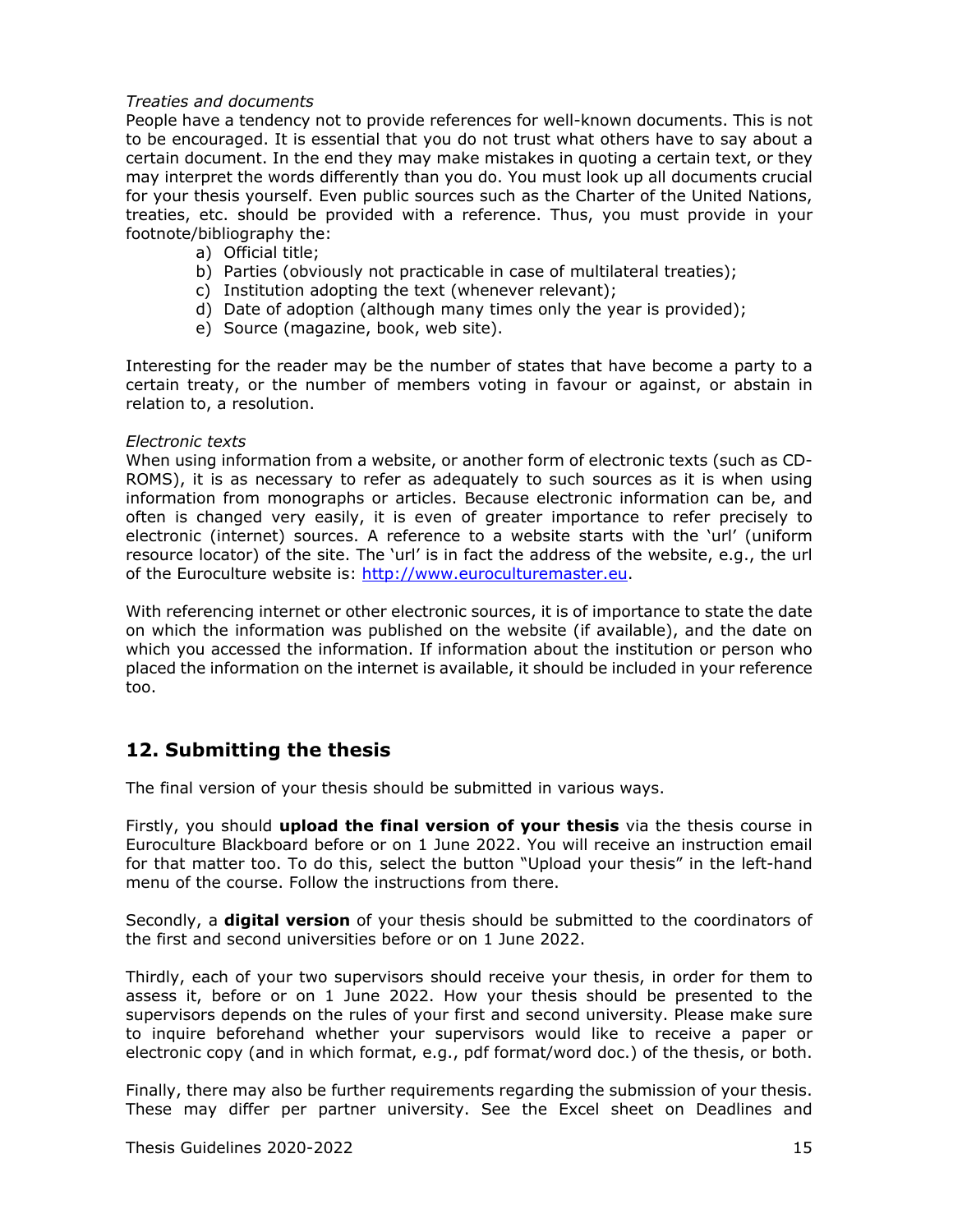### *Treaties and documents*

People have a tendency not to provide references for well-known documents. This is not to be encouraged. It is essential that you do not trust what others have to say about a certain document. In the end they may make mistakes in quoting a certain text, or they may interpret the words differently than you do. You must look up all documents crucial for your thesis yourself. Even public sources such as the Charter of the United Nations, treaties, etc. should be provided with a reference. Thus, you must provide in your footnote/bibliography the:

- a) Official title;
- b) Parties (obviously not practicable in case of multilateral treaties);
- c) Institution adopting the text (whenever relevant);
- d) Date of adoption (although many times only the year is provided);
- e) Source (magazine, book, web site).

Interesting for the reader may be the number of states that have become a party to a certain treaty, or the number of members voting in favour or against, or abstain in relation to, a resolution.

### *Electronic texts*

When using information from a website, or another form of electronic texts (such as CD-ROMS), it is as necessary to refer as adequately to such sources as it is when using information from monographs or articles. Because electronic information can be, and often is changed very easily, it is even of greater importance to refer precisely to electronic (internet) sources. A reference to a website starts with the 'url' (uniform resource locator) of the site. The 'url' is in fact the address of the website, e.g., the url of the Euroculture website is: [http://www.euroculturemaster.eu.](http://www.euroculturemaster.eu/)

With referencing internet or other electronic sources, it is of importance to state the date on which the information was published on the website (if available), and the date on which you accessed the information. If information about the institution or person who placed the information on the internet is available, it should be included in your reference too.

## <span id="page-14-0"></span>**12. Submitting the thesis**

The final version of your thesis should be submitted in various ways.

Firstly, you should **upload the final version of your thesis** via the thesis course in Euroculture Blackboard before or on 1 June 2022. You will receive an instruction email for that matter too. To do this, select the button "Upload your thesis" in the left-hand menu of the course. Follow the instructions from there.

Secondly, a **digital version** of your thesis should be submitted to the coordinators of the first and second universities before or on 1 June 2022.

Thirdly, each of your two supervisors should receive your thesis, in order for them to assess it, before or on 1 June 2022. How your thesis should be presented to the supervisors depends on the rules of your first and second university. Please make sure to inquire beforehand whether your supervisors would like to receive a paper or electronic copy (and in which format, e.g., pdf format/word doc.) of the thesis, or both.

Finally, there may also be further requirements regarding the submission of your thesis. These may differ per partner university. See the Excel sheet on Deadlines and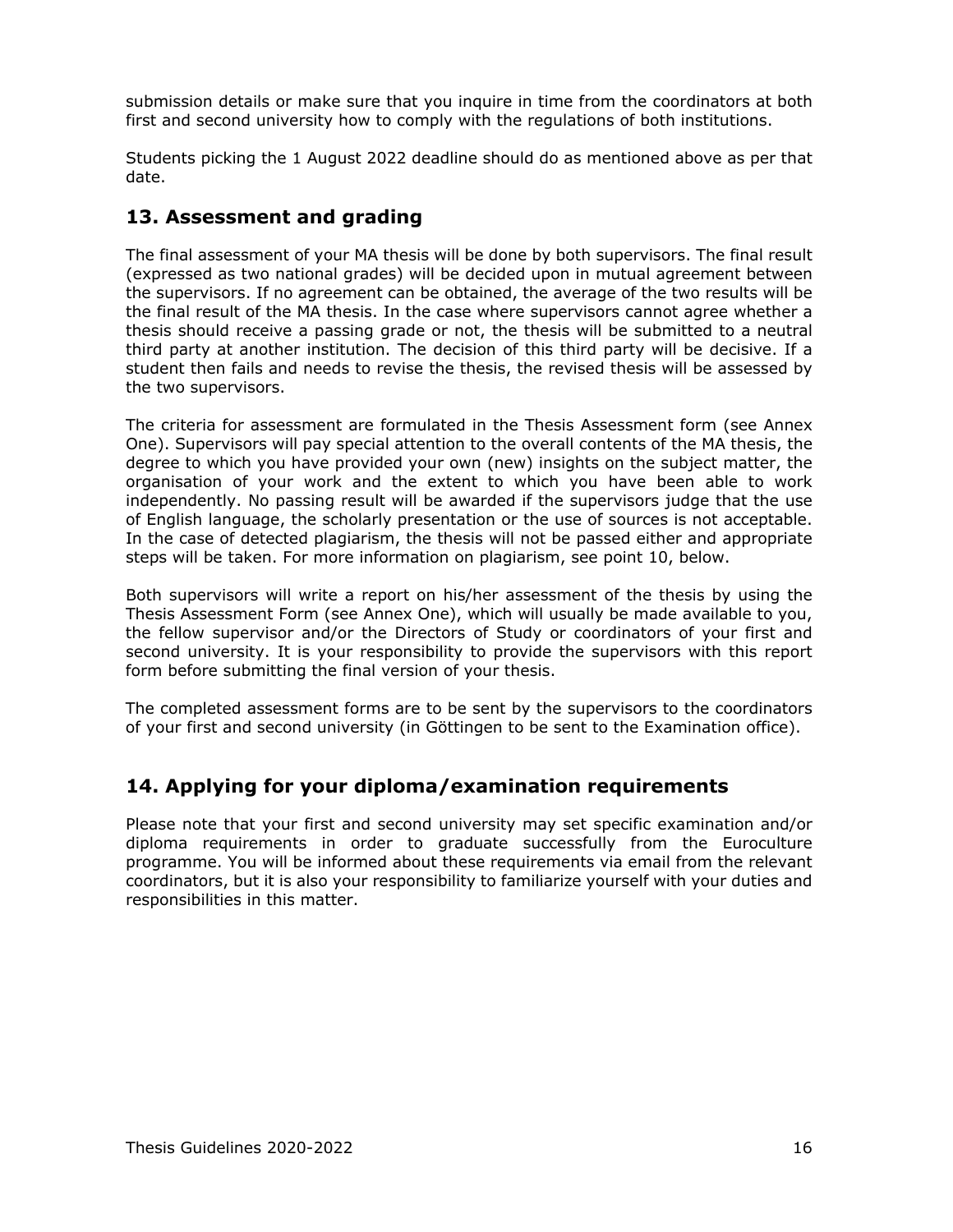submission details or make sure that you inquire in time from the coordinators at both first and second university how to comply with the regulations of both institutions.

Students picking the 1 August 2022 deadline should do as mentioned above as per that date.

## <span id="page-15-0"></span>**13. Assessment and grading**

The final assessment of your MA thesis will be done by both supervisors. The final result (expressed as two national grades) will be decided upon in mutual agreement between the supervisors. If no agreement can be obtained, the average of the two results will be the final result of the MA thesis. In the case where supervisors cannot agree whether a thesis should receive a passing grade or not, the thesis will be submitted to a neutral third party at another institution. The decision of this third party will be decisive. If a student then fails and needs to revise the thesis, the revised thesis will be assessed by the two supervisors.

The criteria for assessment are formulated in the Thesis Assessment form (see Annex One). Supervisors will pay special attention to the overall contents of the MA thesis, the degree to which you have provided your own (new) insights on the subject matter, the organisation of your work and the extent to which you have been able to work independently. No passing result will be awarded if the supervisors judge that the use of English language, the scholarly presentation or the use of sources is not acceptable. In the case of detected plagiarism, the thesis will not be passed either and appropriate steps will be taken. For more information on plagiarism, see point 10, below.

Both supervisors will write a report on his/her assessment of the thesis by using the Thesis Assessment Form (see Annex One), which will usually be made available to you, the fellow supervisor and/or the Directors of Study or coordinators of your first and second university. It is your responsibility to provide the supervisors with this report form before submitting the final version of your thesis.

The completed assessment forms are to be sent by the supervisors to the coordinators of your first and second university (in Göttingen to be sent to the Examination office).

## <span id="page-15-1"></span>**14. Applying for your diploma/examination requirements**

Please note that your first and second university may set specific examination and/or diploma requirements in order to graduate successfully from the Euroculture programme. You will be informed about these requirements via email from the relevant coordinators, but it is also your responsibility to familiarize yourself with your duties and responsibilities in this matter.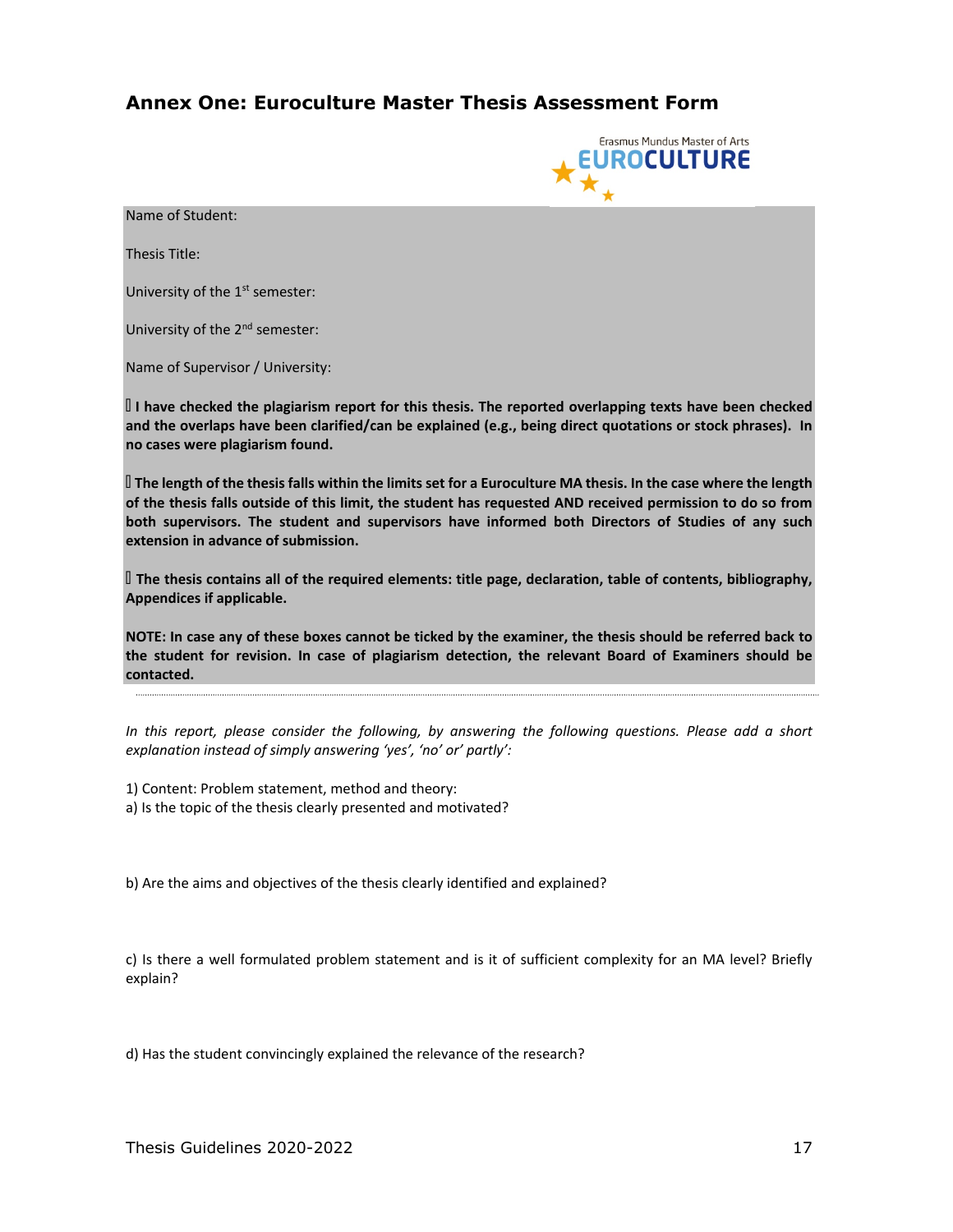## <span id="page-16-0"></span>**Annex One: Euroculture Master Thesis Assessment Form**



l Name of Student:

Thesis Title:

University of the 1<sup>st</sup> semester:

University of the 2<sup>nd</sup> semester:

Name of Supervisor / University:

 **I have checked the plagiarism report for this thesis. The reported overlapping texts have been checked and the overlaps have been clarified/can be explained (e.g., being direct quotations or stock phrases). In no cases were plagiarism found.**

 **The length of the thesis falls within the limits set for a Euroculture MA thesis. In the case where the length of the thesis falls outside of this limit, the student has requested AND received permission to do so from both supervisors. The student and supervisors have informed both Directors of Studies of any such extension in advance of submission.**

 **The thesis contains all of the required elements: title page, declaration, table of contents, bibliography, Appendices if applicable.**

**NOTE: In case any of these boxes cannot be ticked by the examiner, the thesis should be referred back to the student for revision. In case of plagiarism detection, the relevant Board of Examiners should be contacted.** 

*In this report, please consider the following, by answering the following questions. Please add a short explanation instead of simply answering 'yes', 'no' or' partly':* 

1) Content: Problem statement, method and theory: a) Is the topic of the thesis clearly presented and motivated?

b) Are the aims and objectives of the thesis clearly identified and explained?

c) Is there a well formulated problem statement and is it of sufficient complexity for an MA level? Briefly explain?

d) Has the student convincingly explained the relevance of the research?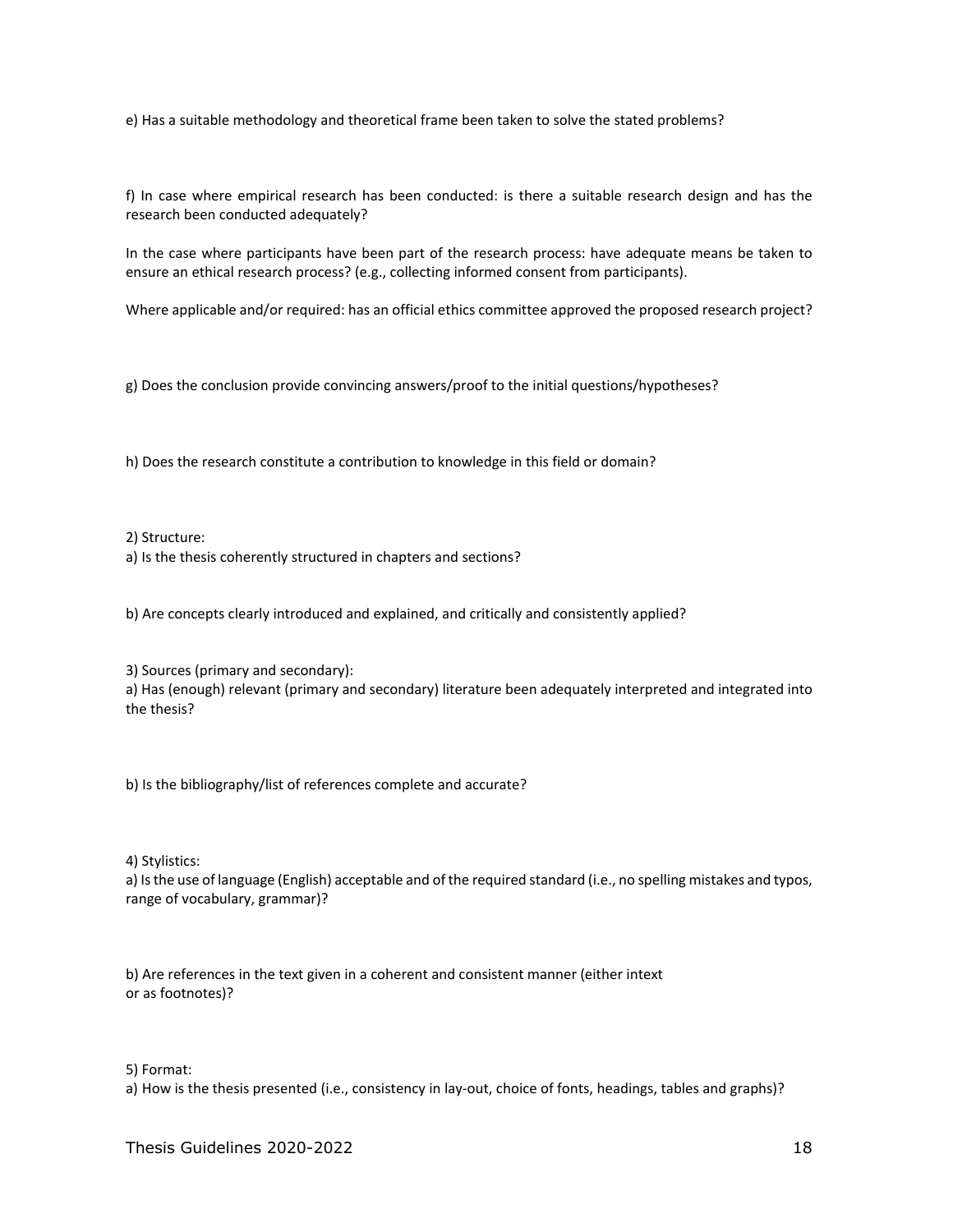e) Has a suitable methodology and theoretical frame been taken to solve the stated problems?

f) In case where empirical research has been conducted: is there a suitable research design and has the research been conducted adequately?

In the case where participants have been part of the research process: have adequate means be taken to ensure an ethical research process? (e.g., collecting informed consent from participants).

Where applicable and/or required: has an official ethics committee approved the proposed research project?

g) Does the conclusion provide convincing answers/proof to the initial questions/hypotheses?

h) Does the research constitute a contribution to knowledge in this field or domain?

2) Structure:

a) Is the thesis coherently structured in chapters and sections?

b) Are concepts clearly introduced and explained, and critically and consistently applied?

3) Sources (primary and secondary):

a) Has (enough) relevant (primary and secondary) literature been adequately interpreted and integrated into the thesis?

b) Is the bibliography/list of references complete and accurate?

4) Stylistics:

a) Is the use of language (English) acceptable and of the required standard (i.e., no spelling mistakes and typos, range of vocabulary, grammar)?

b) Are references in the text given in a coherent and consistent manner (either intext or as footnotes)?

### 5) Format:

a) How is the thesis presented (i.e., consistency in lay-out, choice of fonts, headings, tables and graphs)?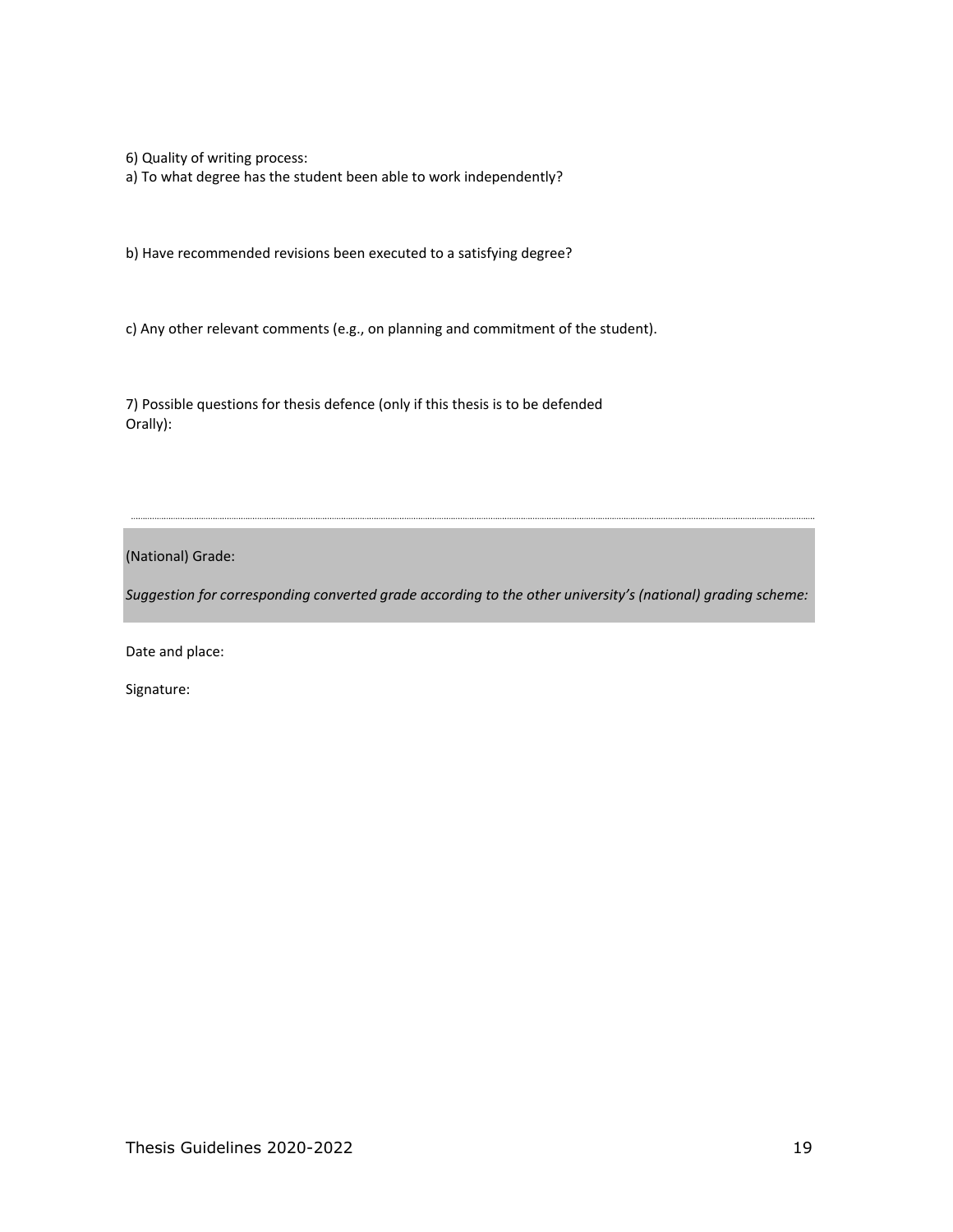6) Quality of writing process:

a) To what degree has the student been able to work independently?

b) Have recommended revisions been executed to a satisfying degree?

c) Any other relevant comments (e.g., on planning and commitment of the student).

7) Possible questions for thesis defence (only if this thesis is to be defended Orally):

(National) Grade:

*Suggestion for corresponding converted grade according to the other university's (national) grading scheme:* 

Date and place:

Signature: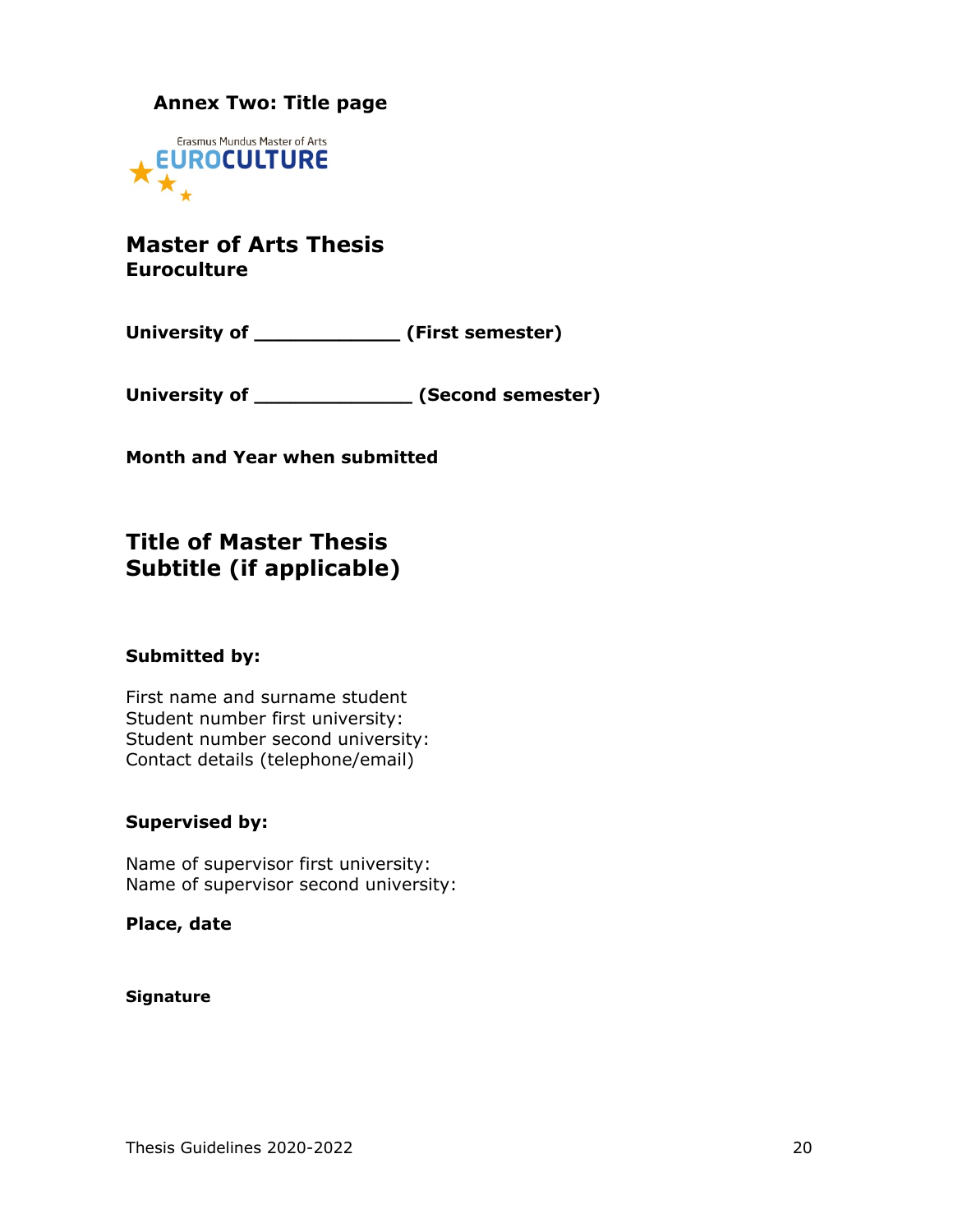## <span id="page-19-0"></span>**Annex Two: Title page**



## **Master of Arts Thesis Euroculture**

**University of \_\_\_\_\_\_\_\_\_\_\_\_ (First semester)**

**University of \_\_\_\_\_\_\_\_\_\_\_\_\_ (Second semester)**

**Month and Year when submitted**

## **Title of Master Thesis Subtitle (if applicable)**

### **Submitted by:**

First name and surname student Student number first university: Student number second university: Contact details (telephone/email)

### **Supervised by:**

Name of supervisor first university: Name of supervisor second university:

**Place, date**

### **Signature**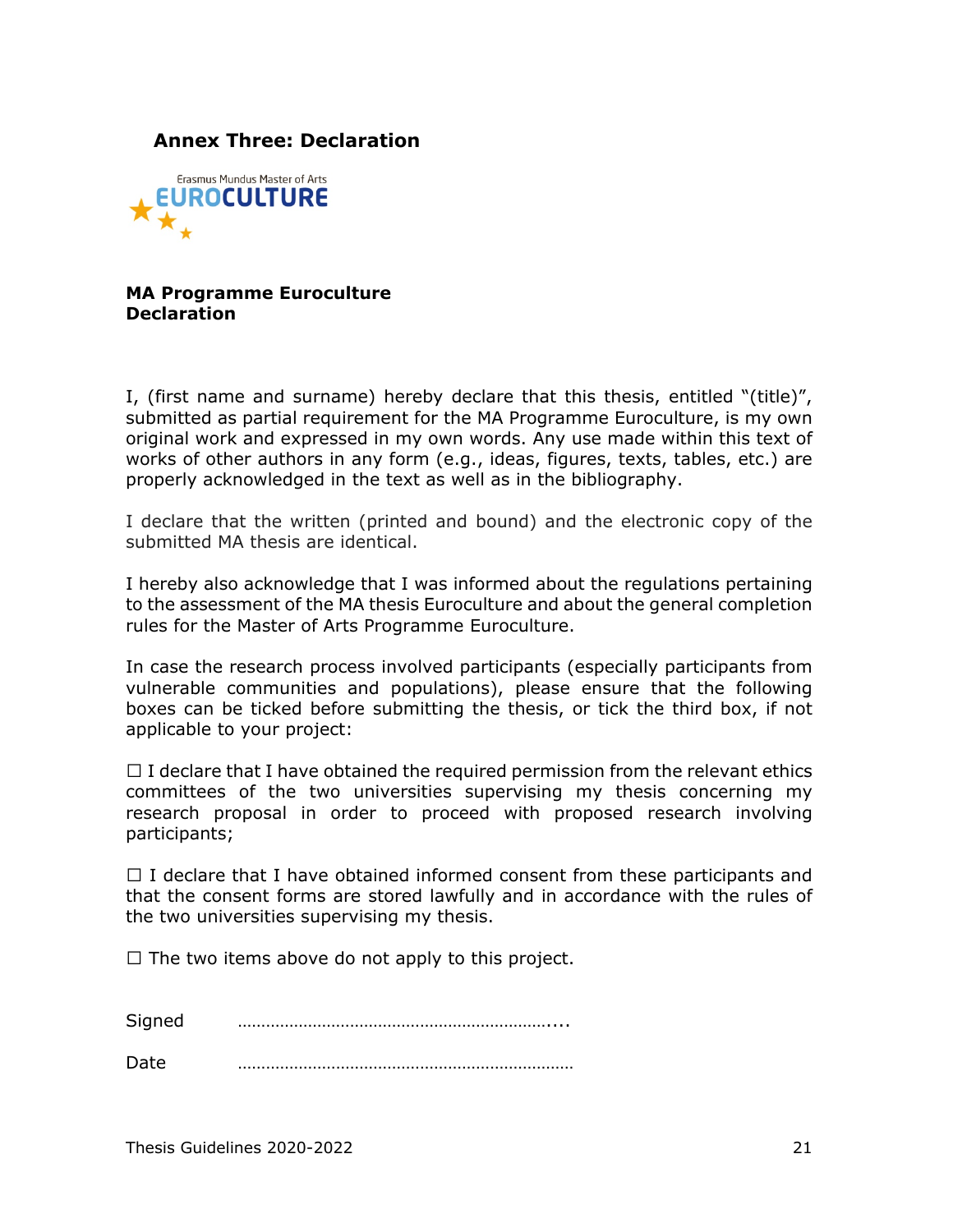## <span id="page-20-0"></span>**Annex Three: Declaration**



**MA Programme Euroculture Declaration**

I, (first name and surname) hereby declare that this thesis, entitled "(title)", submitted as partial requirement for the MA Programme Euroculture, is my own original work and expressed in my own words. Any use made within this text of works of other authors in any form (e.g., ideas, figures, texts, tables, etc.) are properly acknowledged in the text as well as in the bibliography.

I declare that the written (printed and bound) and the electronic copy of the submitted MA thesis are identical.

I hereby also acknowledge that I was informed about the regulations pertaining to the assessment of the MA thesis Euroculture and about the general completion rules for the Master of Arts Programme Euroculture.

In case the research process involved participants (especially participants from vulnerable communities and populations), please ensure that the following boxes can be ticked before submitting the thesis, or tick the third box, if not applicable to your project:

 $\Box$  I declare that I have obtained the required permission from the relevant ethics committees of the two universities supervising my thesis concerning my research proposal in order to proceed with proposed research involving participants;

 $\Box$  I declare that I have obtained informed consent from these participants and that the consent forms are stored lawfully and in accordance with the rules of the two universities supervising my thesis.

 $\Box$  The two items above do not apply to this project.

Signed …………………………………………………………....

Date ………………………………………………………………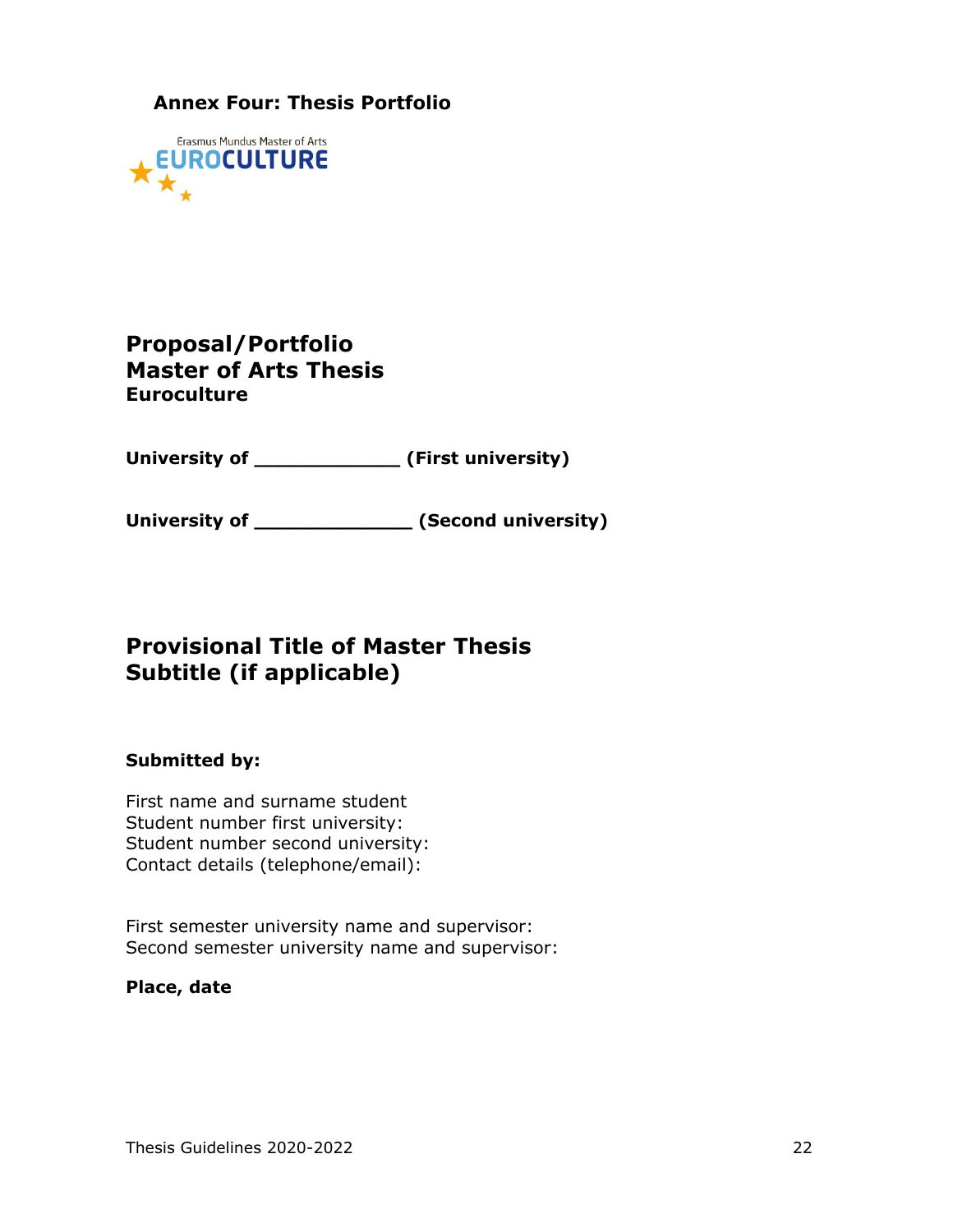## <span id="page-21-0"></span>**Annex Four: Thesis Portfolio**



## **Proposal/Portfolio Master of Arts Thesis Euroculture**

**University of \_\_\_\_\_\_\_\_\_\_\_\_ (First university)**

**University of \_\_\_\_\_\_\_\_\_\_\_\_\_ (Second university)**

## **Provisional Title of Master Thesis Subtitle (if applicable)**

### **Submitted by:**

First name and surname student Student number first university: Student number second university: Contact details (telephone/email):

First semester university name and supervisor: Second semester university name and supervisor:

### **Place, date**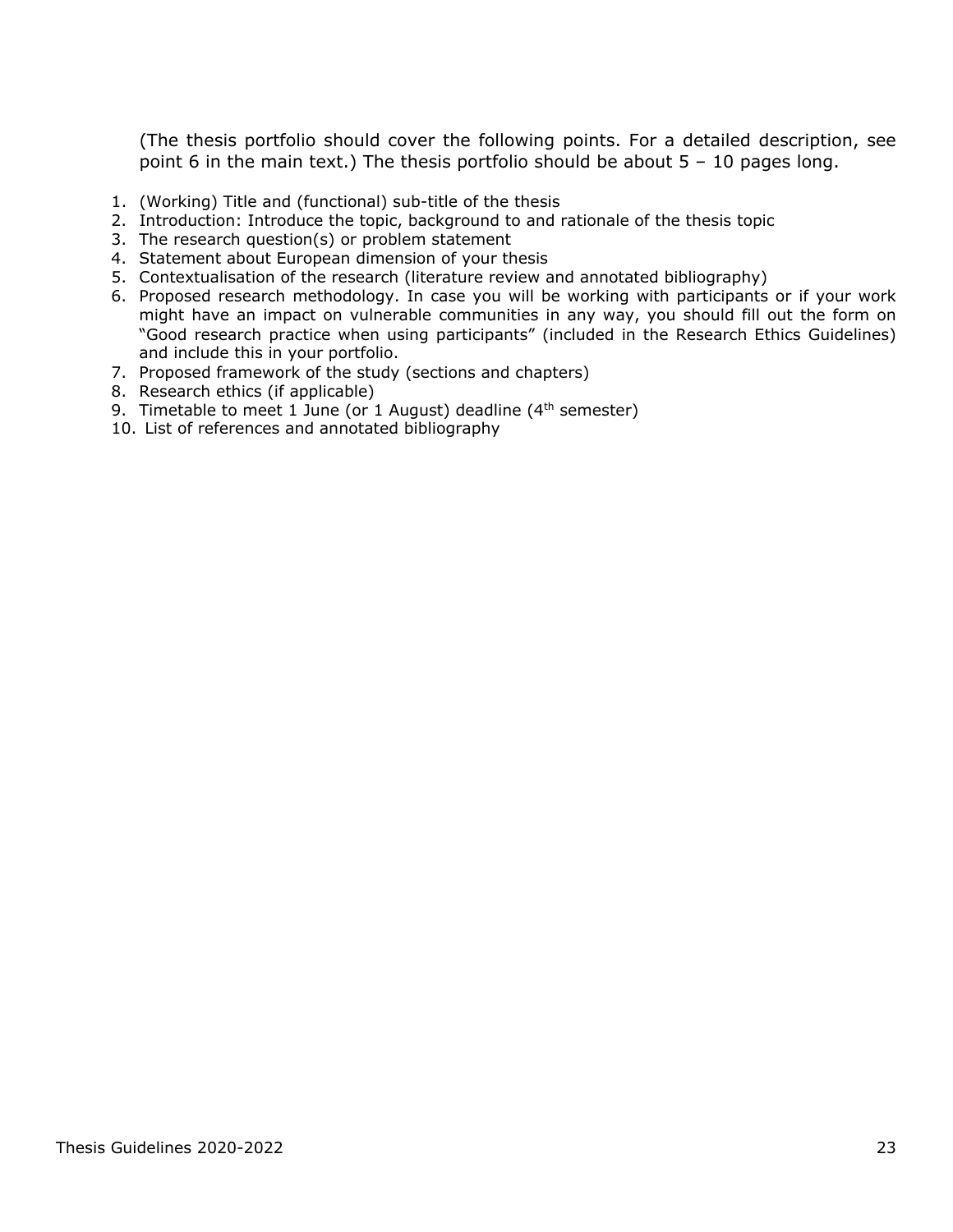(The thesis portfolio should cover the following points. For a detailed description, see point 6 in the main text.) The thesis portfolio should be about 5 – 10 pages long.

- 1. (Working) Title and (functional) sub-title of the thesis
- 2. Introduction: Introduce the topic, background to and rationale of the thesis topic
- 3. The research question(s) or problem statement
- 4. Statement about European dimension of your thesis
- 5. Contextualisation of the research (literature review and annotated bibliography)
- 6. Proposed research methodology. In case you will be working with participants or if your work might have an impact on vulnerable communities in any way, you should fill out the form on "Good research practice when using participants" (included in the Research Ethics Guidelines) and include this in your portfolio.
- 7. Proposed framework of the study (sections and chapters)
- 8. Research ethics (if applicable)
- 9. Timetable to meet 1 June (or 1 August) deadline  $(4<sup>th</sup>$  semester)
- 10. List of references and annotated bibliography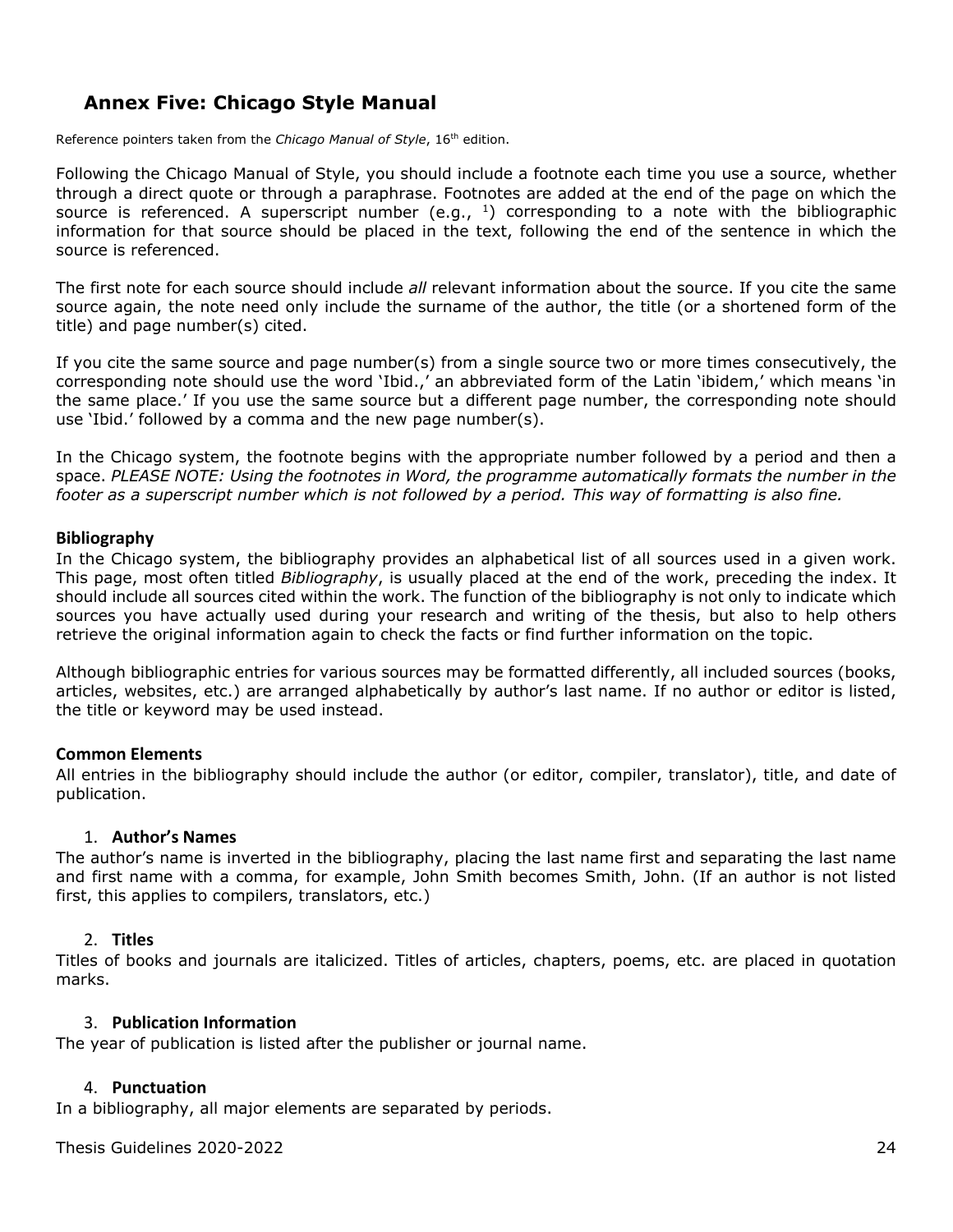## <span id="page-23-0"></span>**Annex Five: Chicago Style Manual**

Reference pointers taken from the *Chicago Manual of Style*, 16<sup>th</sup> edition.

Following the Chicago Manual of Style, you should include a footnote each time you use a source, whether through a direct quote or through a paraphrase. Footnotes are added at the end of the page on which the source is referenced. A superscript number (e.g.,  $1$ ) corresponding to a note with the bibliographic information for that source should be placed in the text, following the end of the sentence in which the source is referenced.

The first note for each source should include *all* relevant information about the source. If you cite the same source again, the note need only include the surname of the author, the title (or a shortened form of the title) and page number(s) cited.

If you cite the same source and page number(s) from a single source two or more times consecutively, the corresponding note should use the word 'Ibid.,' an abbreviated form of the Latin 'ibidem,' which means 'in the same place.' If you use the same source but a different page number, the corresponding note should use 'Ibid.' followed by a comma and the new page number(s).

In the Chicago system, the footnote begins with the appropriate number followed by a period and then a space. *PLEASE NOTE: Using the footnotes in Word, the programme automatically formats the number in the footer as a superscript number which is not followed by a period. This way of formatting is also fine.*

### <span id="page-23-1"></span>**Bibliography**

In the Chicago system, the bibliography provides an alphabetical list of all sources used in a given work. This page, most often titled *Bibliography*, is usually placed at the end of the work, preceding the index. It should include all sources cited within the work. The function of the bibliography is not only to indicate which sources you have actually used during your research and writing of the thesis, but also to help others retrieve the original information again to check the facts or find further information on the topic.

Although bibliographic entries for various sources may be formatted differently, all included sources (books, articles, websites, etc.) are arranged alphabetically by author's last name. If no author or editor is listed, the title or keyword may be used instead.

### <span id="page-23-2"></span>**Common Elements**

All entries in the bibliography should include the author (or editor, compiler, translator), title, and date of publication.

### 1. **Author's Names**

<span id="page-23-3"></span>The author's name is inverted in the bibliography, placing the last name first and separating the last name and first name with a comma, for example, John Smith becomes Smith, John. (If an author is not listed first, this applies to compilers, translators, etc.)

### 2. **Titles**

<span id="page-23-4"></span>Titles of books and journals are italicized. Titles of articles, chapters, poems, etc. are placed in quotation marks.

### 3. **Publication Information**

<span id="page-23-5"></span>The year of publication is listed after the publisher or journal name.

### 4. **Punctuation**

<span id="page-23-6"></span>In a bibliography, all major elements are separated by periods.

Thesis Guidelines 2020-2022 24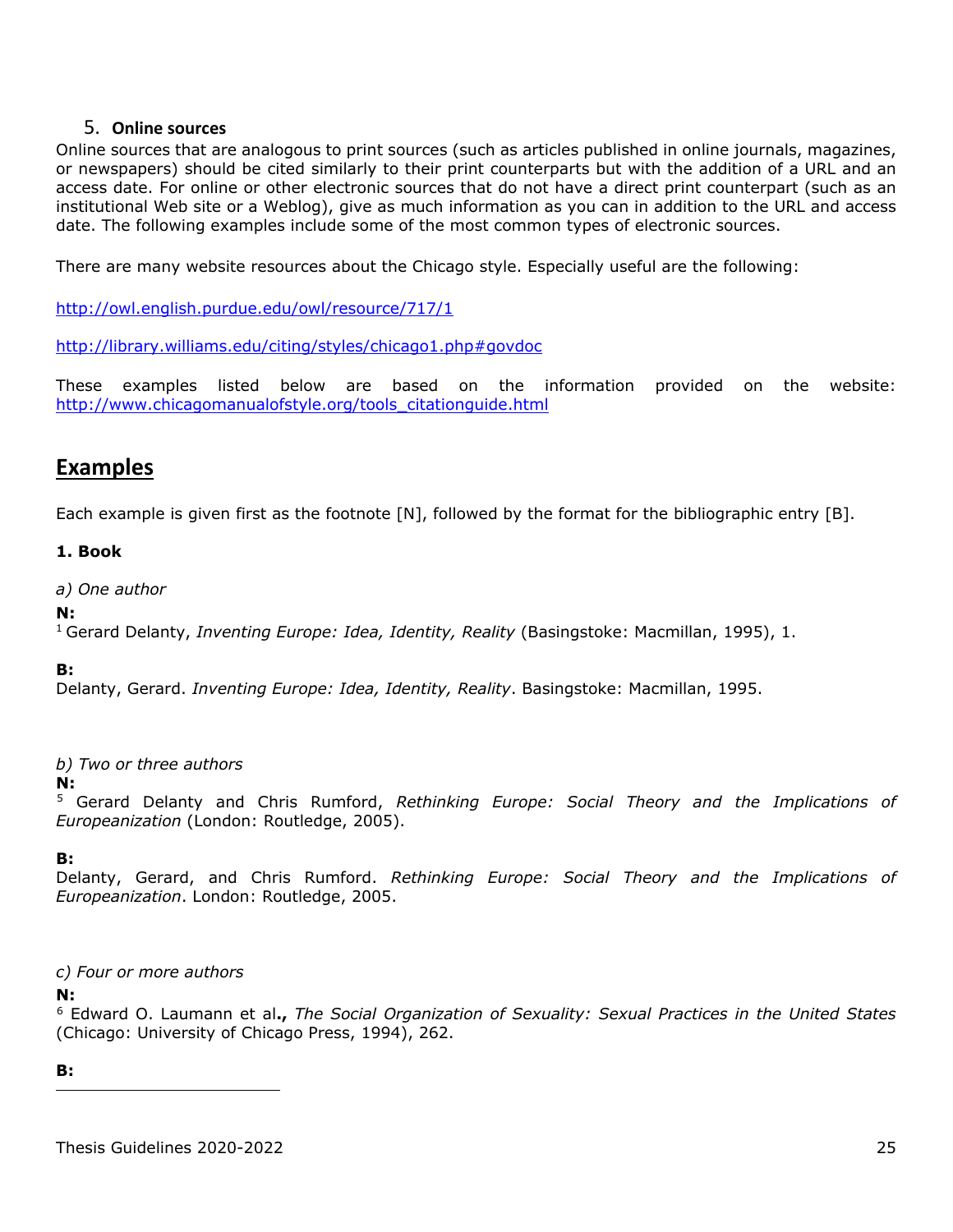### 5. **Online sources**

<span id="page-24-0"></span>Online sources that are analogous to print sources (such as articles published in online journals, magazines, or newspapers) should be cited similarly to their print counterparts but with the addition of a URL and an access date. For online or other electronic sources that do not have a direct print counterpart (such as an institutional Web site or a Weblog), give as much information as you can in addition to the URL and access date. The following examples include some of the most common types of electronic sources.

There are many website resources about the Chicago style. Especially useful are the following:

<http://owl.english.purdue.edu/owl/resource/717/1>

<http://library.williams.edu/citing/styles/chicago1.php#govdoc>

These examples listed below are based on the information provided on the website: [http://www.chicagomanualofstyle.org/tools\\_citationguide.html](http://www.chicagomanualofstyle.org/tools_citationguide.html)

## <span id="page-24-1"></span>**Examples**

Each example is given first as the footnote [N], followed by the format for the bibliographic entry [B].

### <span id="page-24-3"></span><span id="page-24-2"></span>**1. Book**

*a) One author*

### **N:**

1 Gerard Delanty, *Inventing Europe: Idea, Identity, Reality* (Basingstoke: Macmillan, 1995), 1.

**B:**

Delanty, Gerard. *Inventing Europe: Idea, Identity, Reality*. Basingstoke: Macmillan, 1995.

*b) Two or three authors*

**N:** 

[5](#page-24-5) Gerard Delanty and Chris Rumford, *Rethinking Europe: Social Theory and the Implications of Europeanization* (London: Routledge, 2005).

### **B:**

Delanty, Gerard, and Chris Rumford. *Rethinking Europe: Social Theory and the Implications of Europeanization*. London: Routledge, 2005.

### <span id="page-24-4"></span>*c) Four or more authors*

### **N:**

[6](#page-24-6) Edward O. Laumann et al**.,** *The Social Organization of Sexuality: Sexual Practices in the United States* (Chicago: University of Chicago Press, 1994), 262.

### <span id="page-24-6"></span><span id="page-24-5"></span>**B:**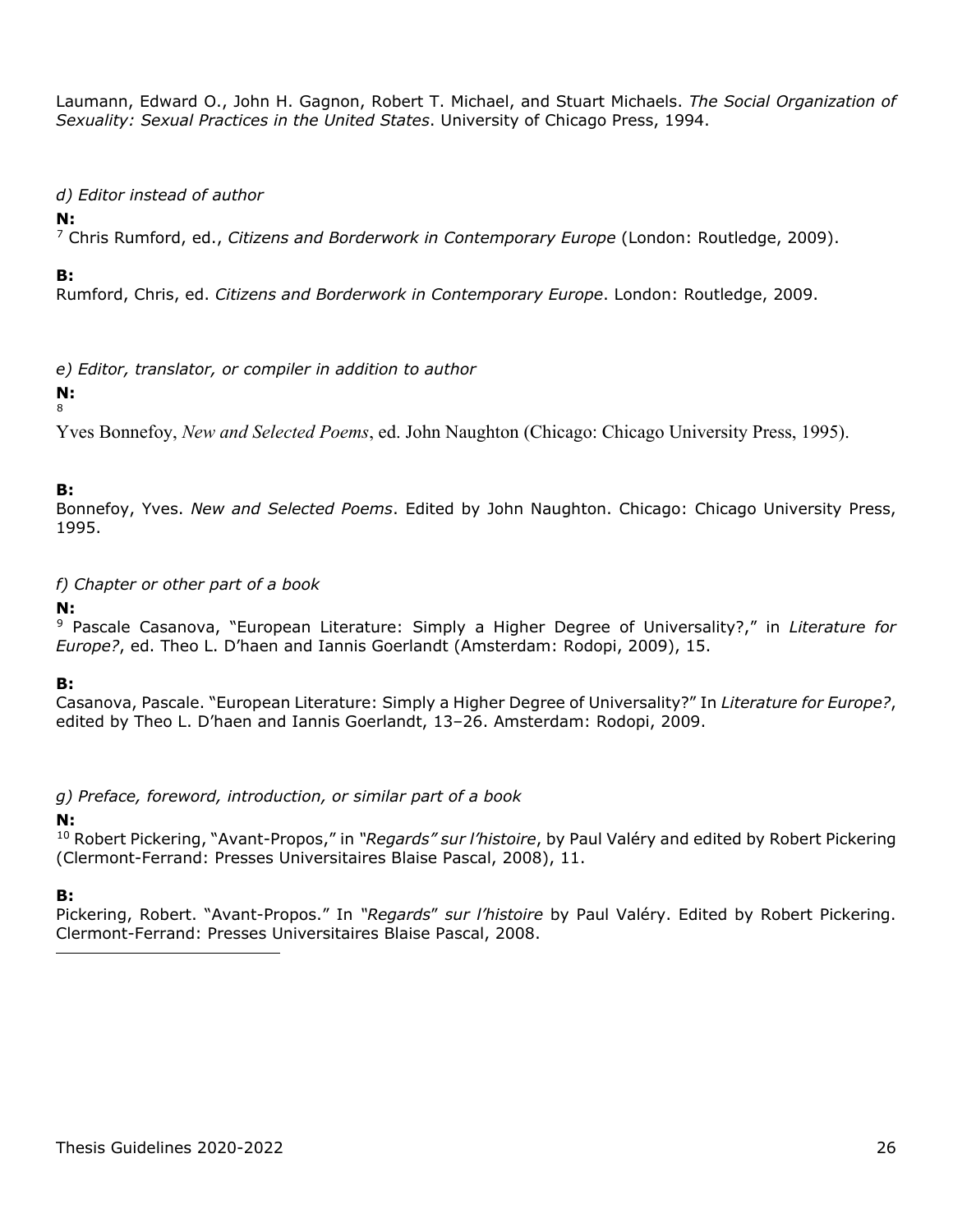Laumann, Edward O., John H. Gagnon, Robert T. Michael, and Stuart Michaels. *The Social Organization of Sexuality: Sexual Practices in the United States*. University of Chicago Press, 1994.

### <span id="page-25-0"></span>*d) Editor instead of author*

### **N:**

[7](#page-25-4) Chris Rumford, ed., *Citizens and Borderwork in Contemporary Europe* (London: Routledge, 2009).

### **B:**

Rumford, Chris, ed. *Citizens and Borderwork in Contemporary Europe*. London: Routledge, 2009.

<span id="page-25-1"></span>*e) Editor, translator, or compiler in addition to author*

#### **N:**  [8](#page-25-5)

Yves Bonnefoy, *New and Selected Poems*, ed. John Naughton (Chicago: Chicago University Press, 1995).

### **B:**

Bonnefoy, Yves. *New and Selected Poems*. Edited by John Naughton. Chicago: Chicago University Press, 1995.

<span id="page-25-2"></span>*f) Chapter or other part of a book*

### **N:**

[9](#page-25-6) Pascale Casanova, "European Literature: Simply a Higher Degree of Universality?," in *Literature for Europe?*, ed. Theo L. D'haen and Iannis Goerlandt (Amsterdam: Rodopi, 2009), 15.

### **B:**

Casanova, Pascale. "European Literature: Simply a Higher Degree of Universality?" In *Literature for Europe?*, edited by Theo L. D'haen and Iannis Goerlandt, 13–26. Amsterdam: Rodopi, 2009.

<span id="page-25-3"></span>*g) Preface, foreword, introduction, or similar part of a book*

## **N:**

[10](#page-25-7) Robert Pickering, "Avant-Propos," in *"Regards" sur l'histoire*, by Paul Valéry and edited by Robert Pickering (Clermont-Ferrand: Presses Universitaires Blaise Pascal, 2008), 11.

### **B:**

<span id="page-25-7"></span><span id="page-25-6"></span><span id="page-25-5"></span><span id="page-25-4"></span>Pickering, Robert. "Avant-Propos." In *"Regards*" *sur l'histoire* by Paul Valéry. Edited by Robert Pickering. Clermont-Ferrand: Presses Universitaires Blaise Pascal, 2008.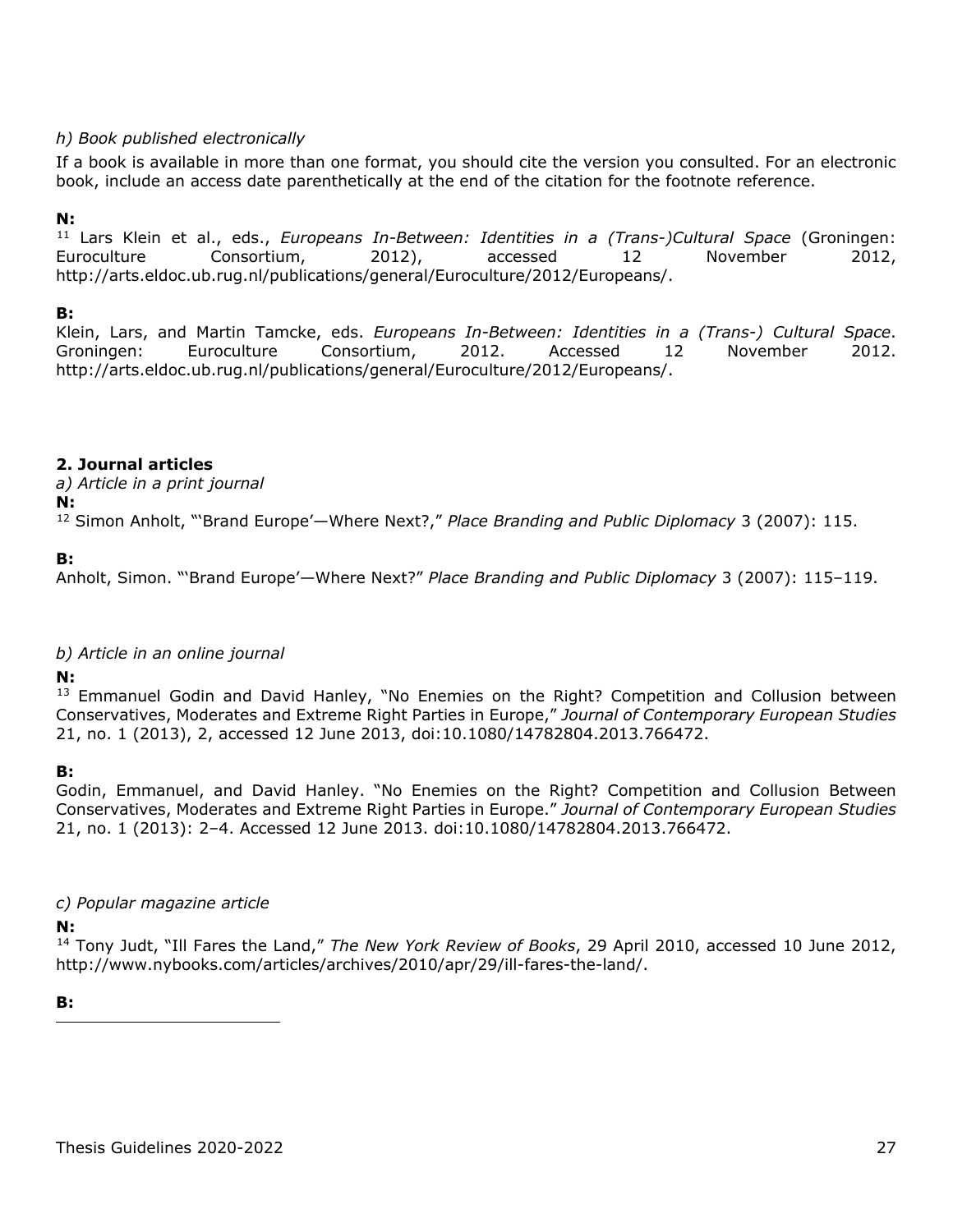### <span id="page-26-0"></span>*h) Book published electronically*

If a book is available in more than one format, you should cite the version you consulted. For an electronic book, include an access date parenthetically at the end of the citation for the footnote reference.

### **N:**

[11](#page-26-4) Lars Klein et al., eds., *Europeans In-Between: Identities in a (Trans-)Cultural Space* (Groningen: Euroculture Consortium, 2012), accessed 12 November 2012, http://arts.eldoc.ub.rug.nl/publications/general/Euroculture/2012/Europeans/.

### **B:**

Klein, Lars, and Martin Tamcke, eds. *Europeans In-Between: Identities in a (Trans-) Cultural Space*. Groningen: Euroculture Consortium, 2012. Accessed 12 November 2012. http://arts.eldoc.ub.rug.nl/publications/general/Euroculture/2012/Europeans/.

### <span id="page-26-1"></span>**2. Journal articles**

*a) Article in a print journal*

### **N:**

[12](#page-26-5) Simon Anholt, "'Brand Europe'—Where Next?," *Place Branding and Public Diplomacy* 3 (2007): 115.

### **B:**

Anholt, Simon. "'Brand Europe'—Where Next?" *Place Branding and Public Diplomacy* 3 (2007): 115–119.

### <span id="page-26-2"></span>*b) Article in an online journal*

**N:** 

<sup>[13](#page-26-6)</sup> Emmanuel Godin and David Hanley, "No Enemies on the Right? Competition and Collusion between Conservatives, Moderates and Extreme Right Parties in Europe," *Journal of Contemporary European Studies* 21, no. 1 (2013), 2, accessed 12 June 2013, doi:10.1080/14782804.2013.766472.

### **B:**

Godin, Emmanuel, and David Hanley. "No Enemies on the Right? Competition and Collusion Between Conservatives, Moderates and Extreme Right Parties in Europe." *Journal of Contemporary European Studies* 21, no. 1 (2013): 2–4. Accessed 12 June 2013. doi:10.1080/14782804.2013.766472.

### <span id="page-26-3"></span>*c) Popular magazine article*

## **N:**

[14](#page-26-7) Tony Judt, "Ill Fares the Land," *The New York Review of Books*, 29 April 2010, accessed 10 June 2012, http://www.nybooks.com/articles/archives/2010/apr/29/ill-fares-the-land/.

<span id="page-26-7"></span><span id="page-26-6"></span><span id="page-26-5"></span><span id="page-26-4"></span>**B:**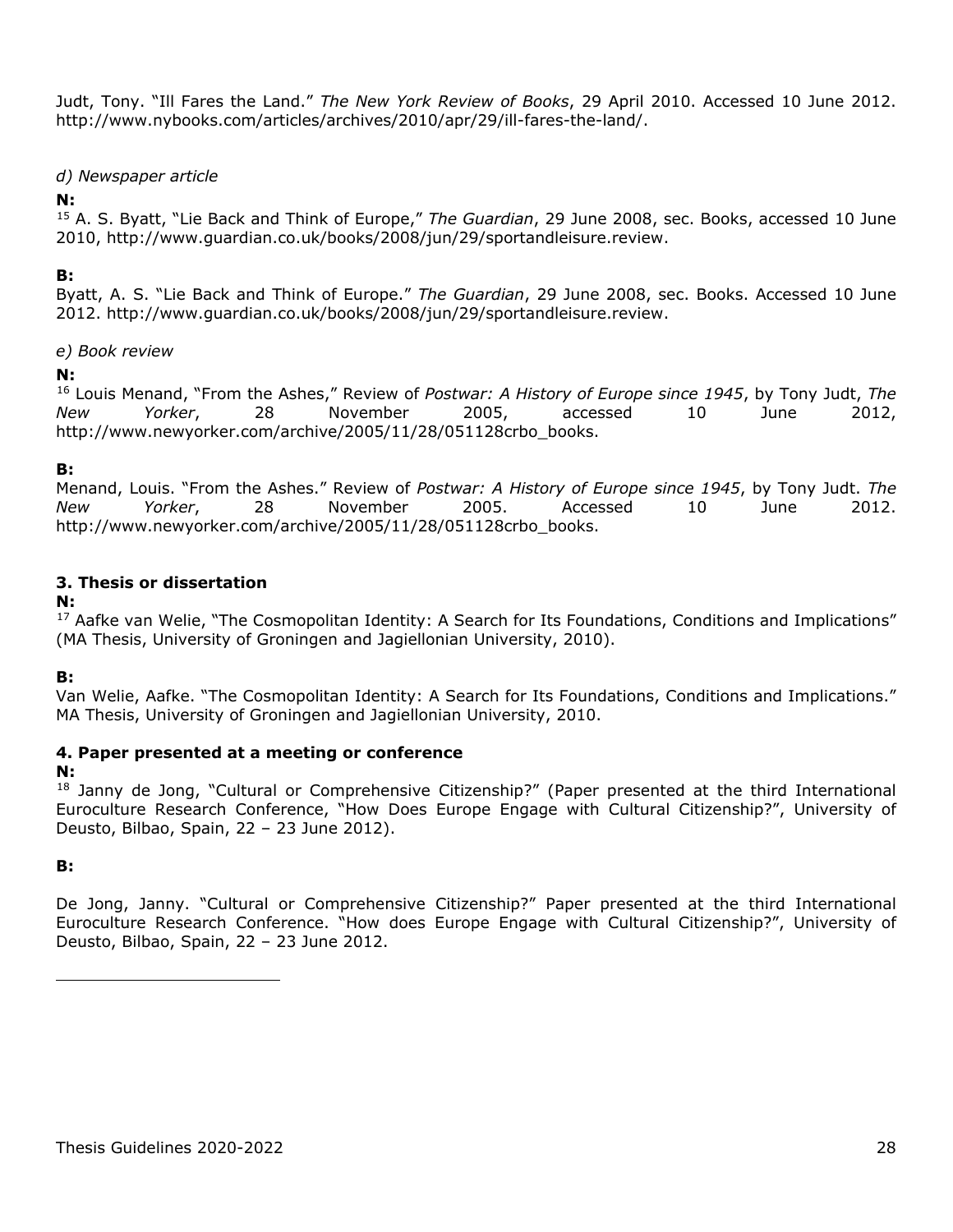Judt, Tony. "Ill Fares the Land." *The New York Review of Books*, 29 April 2010. Accessed 10 June 2012. http://www.nybooks.com/articles/archives/2010/apr/29/ill-fares-the-land/.

### <span id="page-27-0"></span>*d) Newspaper article*

### **N:**

[15](#page-27-4) A. S. Byatt, "Lie Back and Think of Europe," *The Guardian*, 29 June 2008, sec. Books, accessed 10 June 2010, http://www.guardian.co.uk/books/2008/jun/29/sportandleisure.review.

### **B:**

Byatt, A. S. "Lie Back and Think of Europe." *The Guardian*, 29 June 2008, sec. Books. Accessed 10 June 2012. http://www.guardian.co.uk/books/2008/jun/29/sportandleisure.review.

### <span id="page-27-1"></span>*e) Book review*

### **N:**

[16](#page-27-5) Louis Menand, "From the Ashes," Review of *Postwar: A History of Europe since 1945*, by Tony Judt, *The New Yorker*, 28 November 2005, accessed 10 June 2012, http://www.newyorker.com/archive/2005/11/28/051128crbo\_books.

### **B:**

Menand, Louis. "From the Ashes." Review of *Postwar: A History of Europe since 1945*, by Tony Judt. *The New Yorker*, 28 November 2005. Accessed 10 June 2012. http://www.newyorker.com/archive/2005/11/28/051128crbo\_books.

### <span id="page-27-2"></span>**3. Thesis or dissertation**

### **N:**

<sup>[17](#page-27-6)</sup> Aafke van Welie, "The Cosmopolitan Identity: A Search for Its Foundations, Conditions and Implications" (MA Thesis, University of Groningen and Jagiellonian University, 2010).

### **B:**

Van Welie, Aafke. "The Cosmopolitan Identity: A Search for Its Foundations, Conditions and Implications." MA Thesis, University of Groningen and Jagiellonian University, 2010.

### <span id="page-27-3"></span>**4. Paper presented at a meeting or conference**

### **N:**

<sup>[18](#page-27-7)</sup> Janny de Jong, "Cultural or Comprehensive Citizenship?" (Paper presented at the third International Euroculture Research Conference, "How Does Europe Engage with Cultural Citizenship?", University of Deusto, Bilbao, Spain, 22 – 23 June 2012).

### **B:**

<span id="page-27-7"></span><span id="page-27-6"></span><span id="page-27-5"></span><span id="page-27-4"></span>De Jong, Janny. "Cultural or Comprehensive Citizenship?" Paper presented at the third International Euroculture Research Conference. "How does Europe Engage with Cultural Citizenship?", University of Deusto, Bilbao, Spain, 22 – 23 June 2012.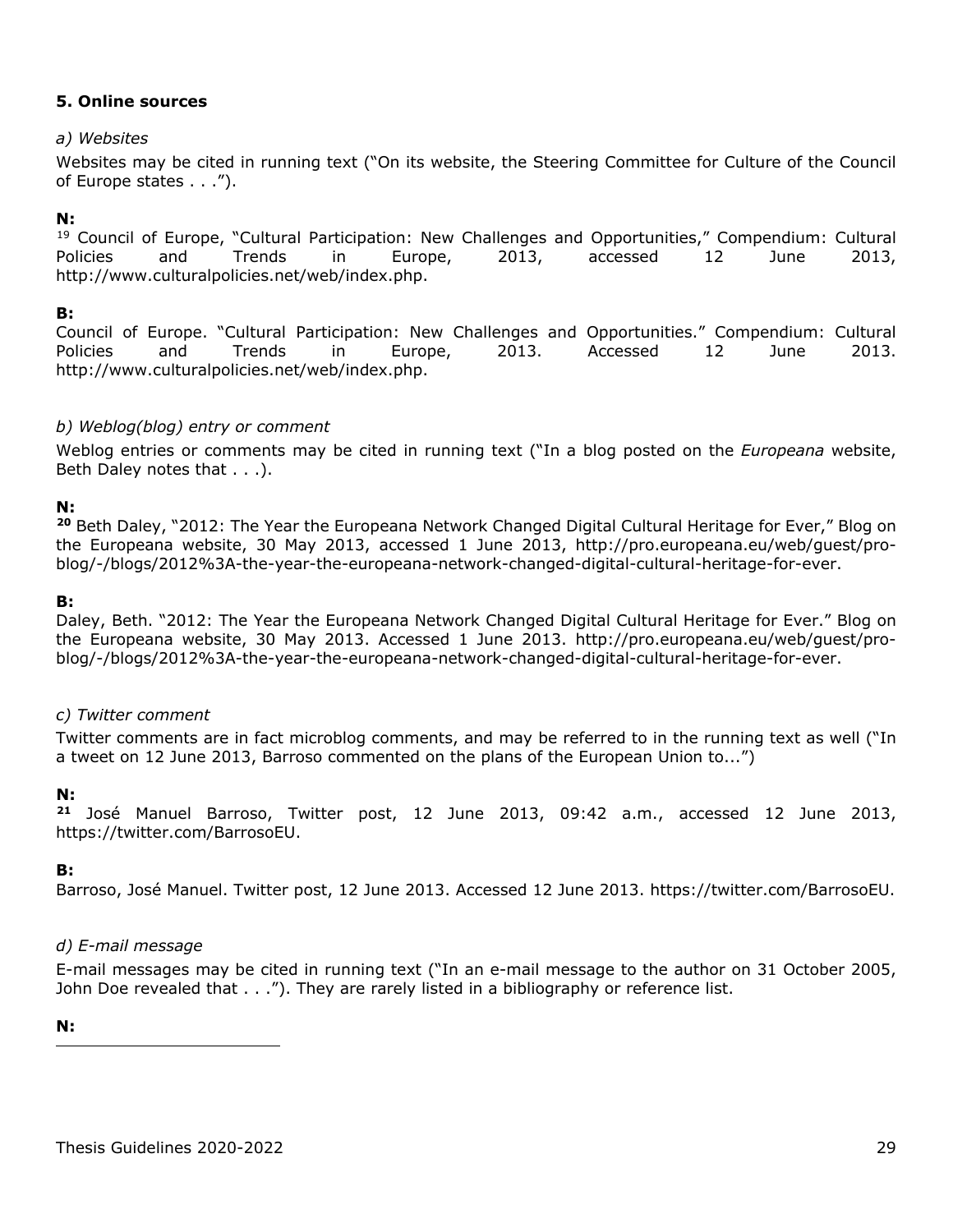### <span id="page-28-1"></span><span id="page-28-0"></span>**5. Online sources**

### *a) Websites*

Websites may be cited in running text ("On its website, the Steering Committee for Culture of the Council of Europe states . . .").

### **N:**

<sup>[19](#page-28-6)</sup> Council of Europe, "Cultural Participation: New Challenges and Opportunities," Compendium: Cultural Policies and Trends in Europe, 2013, accessed 12 June 2013, http://www.culturalpolicies.net/web/index.php.

### **B:**

Council of Europe. "Cultural Participation: New Challenges and Opportunities." Compendium: Cultural Policies and Trends in Europe, 2013. Accessed 12 June 2013. http://www.culturalpolicies.net/web/index.php.

### <span id="page-28-2"></span>*b) Weblog(blog) entry or comment*

Weblog entries or comments may be cited in running text ("In a blog posted on the *Europeana* website, Beth Daley notes that . . .).

### **N:**

**[20](#page-28-7)** Beth Daley, "2012: The Year the Europeana Network Changed Digital Cultural Heritage for Ever," Blog on the Europeana website, 30 May 2013, accessed 1 June 2013, http://pro.europeana.eu/web/guest/problog/-/blogs/2012%3A-the-year-the-europeana-network-changed-digital-cultural-heritage-for-ever.

### **B:**

Daley, Beth. "2012: The Year the Europeana Network Changed Digital Cultural Heritage for Ever." Blog on the Europeana website, 30 May 2013. Accessed 1 June 2013. http://pro.europeana.eu/web/guest/problog/-/blogs/2012%3A-the-year-the-europeana-network-changed-digital-cultural-heritage-for-ever.

### <span id="page-28-3"></span>*c) Twitter comment*

Twitter comments are in fact microblog comments, and may be referred to in the running text as well ("In a tweet on 12 June 2013, Barroso commented on the plans of the European Union to...")

### **N:**

**[21](#page-28-8)** José Manuel Barroso, Twitter post, 12 June 2013, 09:42 a.m., accessed 12 June 2013, https://twitter.com/BarrosoEU.

### <span id="page-28-4"></span>**B:**

Barroso, José Manuel. Twitter post, 12 June 2013. Accessed 12 June 2013. https://twitter.com/BarrosoEU.

### <span id="page-28-5"></span>*d) E-mail message*

E-mail messages may be cited in running text ("In an e-mail message to the author on 31 October 2005, John Doe revealed that  $\dots$ "). They are rarely listed in a bibliography or reference list.

<span id="page-28-8"></span><span id="page-28-7"></span><span id="page-28-6"></span>**N:**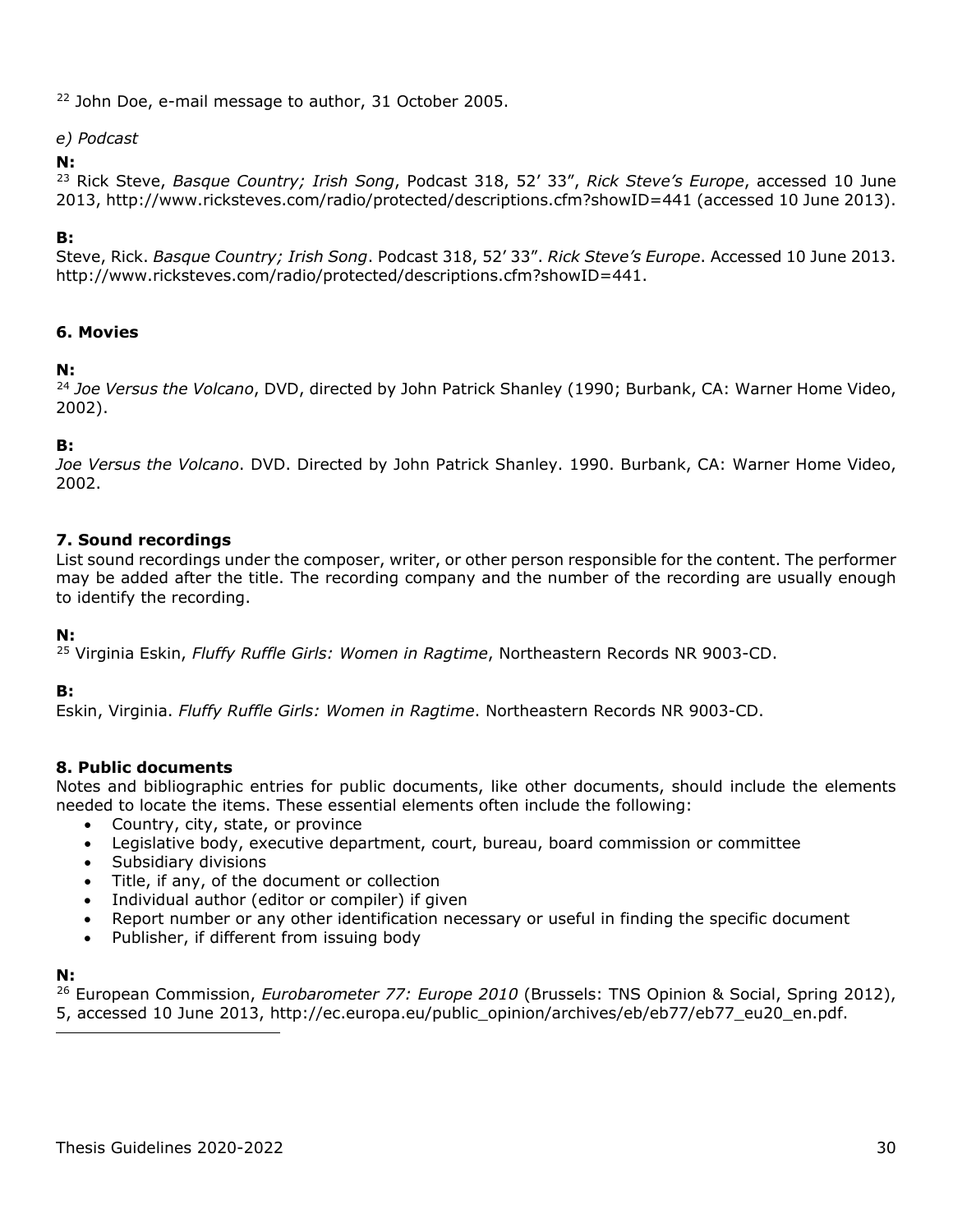<sup>[22](#page-29-4)</sup> John Doe, e-mail message to author, 31 October 2005.

### <span id="page-29-0"></span>*e) Podcast*

### **N:**

[23](#page-29-5) Rick Steve, *Basque Country; Irish Song*, Podcast 318, 52' 33", *Rick Steve's Europe*, accessed 10 June 2013, http://www.ricksteves.com/radio/protected/descriptions.cfm?showID=441 (accessed 10 June 2013).

### **B:**

Steve, Rick. *Basque Country; Irish Song*. Podcast 318, 52' 33". *Rick Steve's Europe*. Accessed 10 June 2013. [http://www.ricksteves.com/radio/protected/descriptions.cfm?showID=441.](http://www.ricksteves.com/radio/protected/descriptions.cfm?showID=441)

### <span id="page-29-1"></span>**6. Movies**

### **N:**

[24](#page-29-6) *Joe Versus the Volcano*, DVD, directed by John Patrick Shanley (1990; Burbank, CA: Warner Home Video, 2002).

### **B:**

*Joe Versus the Volcano*. DVD. Directed by John Patrick Shanley. 1990. Burbank, CA: Warner Home Video, 2002.

### <span id="page-29-2"></span>**7. Sound recordings**

List sound recordings under the composer, writer, or other person responsible for the content. The performer may be added after the title. The recording company and the number of the recording are usually enough to identify the recording.

### **N:**

[25](#page-29-7) Virginia Eskin, *Fluffy Ruffle Girls: Women in Ragtime*, Northeastern Records NR 9003-CD.

### **B:**

Eskin, Virginia. *Fluffy Ruffle Girls: Women in Ragtime*. Northeastern Records NR 9003-CD.

### <span id="page-29-3"></span>**8. Public documents**

Notes and bibliographic entries for public documents, like other documents, should include the elements needed to locate the items. These essential elements often include the following:

- Country, city, state, or province
- Legislative body, executive department, court, bureau, board commission or committee
- Subsidiary divisions
- Title, if any, of the document or collection
- Individual author (editor or compiler) if given
- Report number or any other identification necessary or useful in finding the specific document
- Publisher, if different from issuing body

### **N:**

<span id="page-29-8"></span><span id="page-29-7"></span><span id="page-29-6"></span><span id="page-29-5"></span><span id="page-29-4"></span>[26](#page-29-8) European Commission, *Eurobarometer 77: Europe 2010* (Brussels: TNS Opinion & Social, Spring 2012), 5, accessed 10 June 2013, http://ec.europa.eu/public\_opinion/archives/eb/eb77/eb77\_eu20\_en.pdf.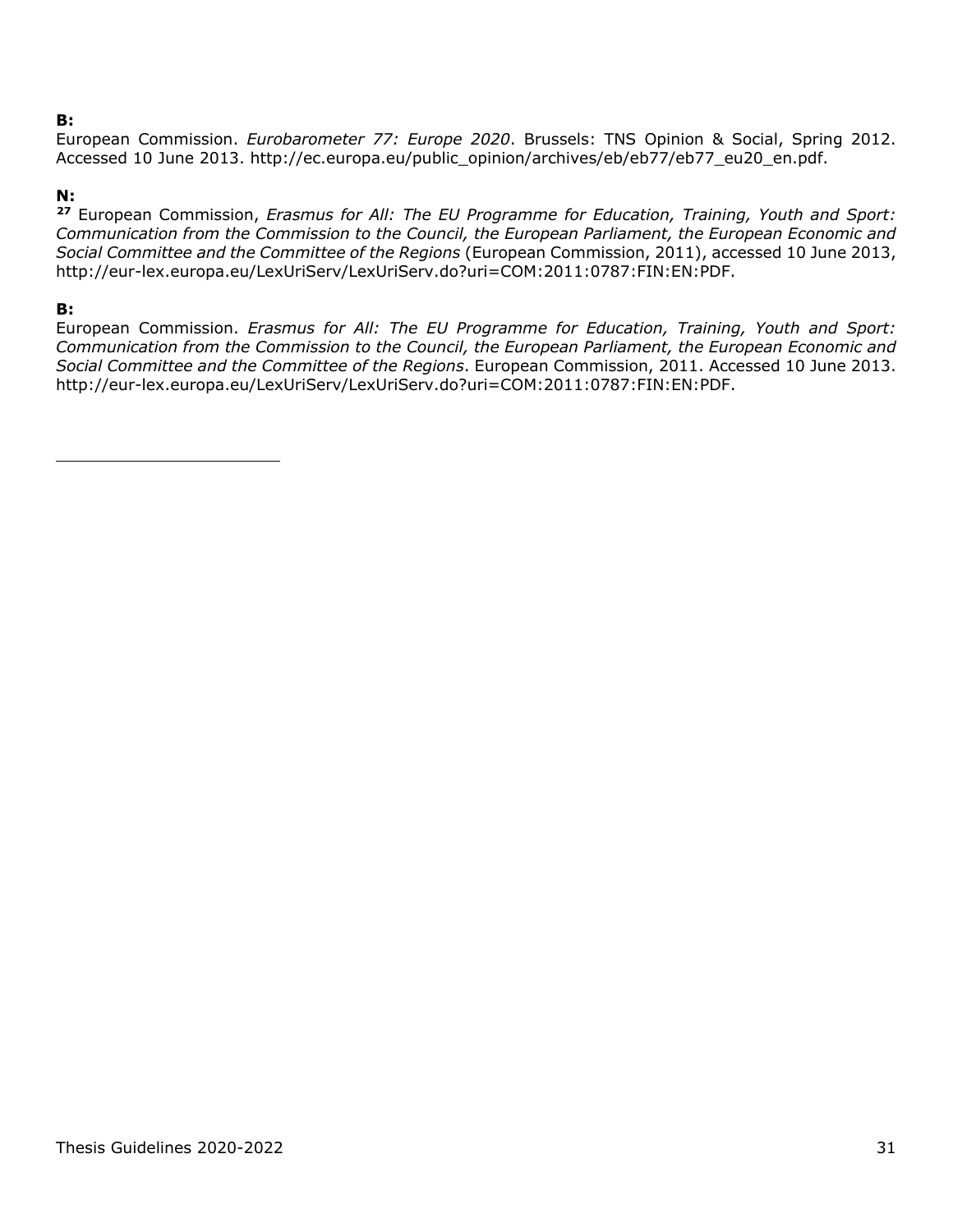### **B:**

European Commission. *Eurobarometer 77: Europe 2020*. Brussels: TNS Opinion & Social, Spring 2012. Accessed 10 June 2013. http://ec.europa.eu/public\_opinion/archives/eb/eb77/eb77\_eu20\_en.pdf.

### **N:**

**[27](#page-30-0)** European Commission, *Erasmus for All: The EU Programme for Education, Training, Youth and Sport: Communication from the Commission to the Council, the European Parliament, the European Economic and Social Committee and the Committee of the Regions* (European Commission, 2011), accessed 10 June 2013, http://eur-lex.europa.eu/LexUriServ/LexUriServ.do?uri=COM:2011:0787:FIN:EN:PDF.

### **B:**

<span id="page-30-0"></span>European Commission. *Erasmus for All: The EU Programme for Education, Training, Youth and Sport: Communication from the Commission to the Council, the European Parliament, the European Economic and Social Committee and the Committee of the Regions*. European Commission, 2011. Accessed 10 June 2013. http://eur-lex.europa.eu/LexUriServ/LexUriServ.do?uri=COM:2011:0787:FIN:EN:PDF.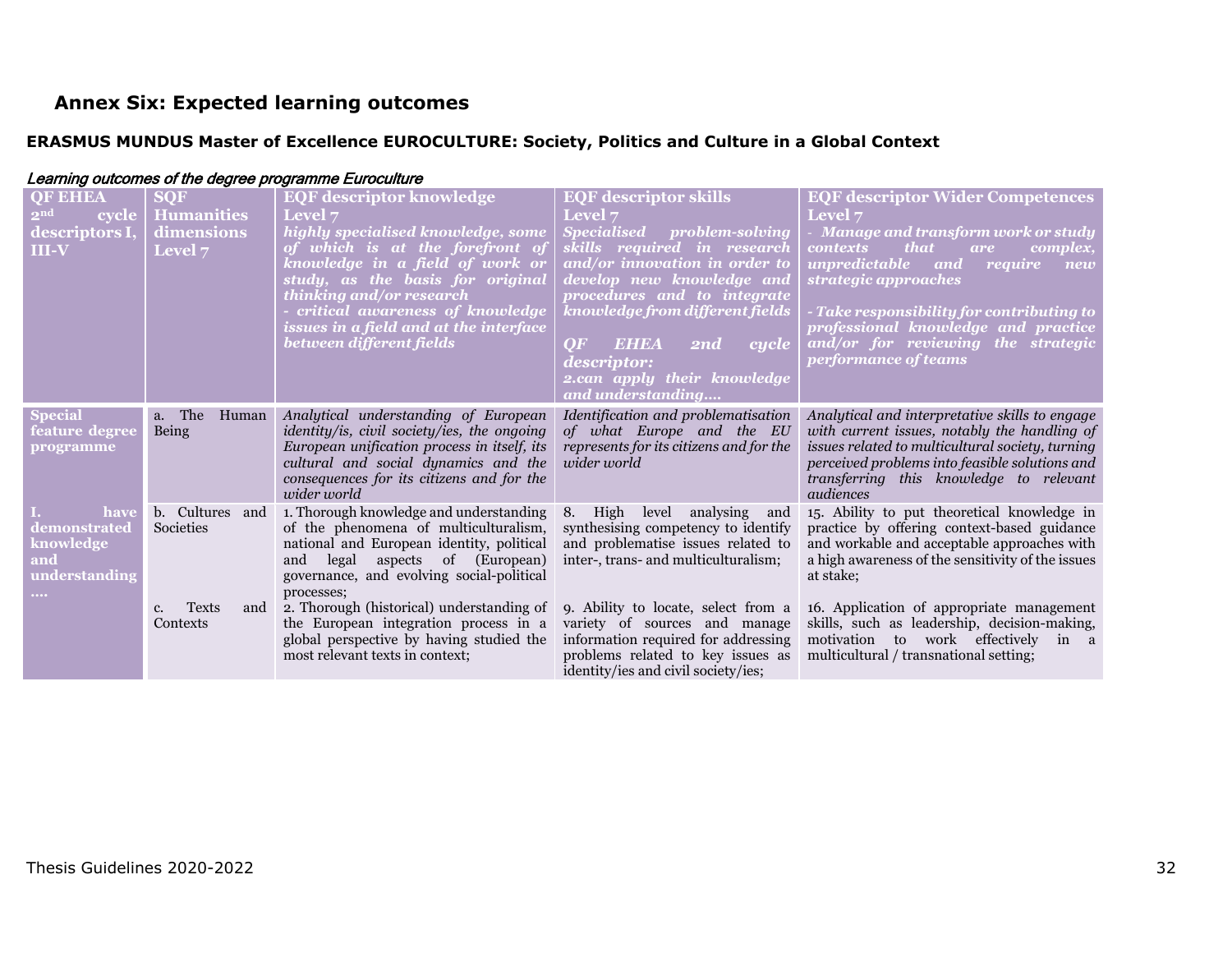## **Annex Six: Expected learning outcomes**

### **ERASMUS MUNDUS Master of Excellence EUROCULTURE: Society, Politics and Culture in a Global Context**

<span id="page-31-1"></span><span id="page-31-0"></span>

| <b>OF EHEA</b><br>2 <sup>nd</sup><br>cycle<br>descriptors I,<br>$III-V$ | <b>SQF</b><br><b>Humanities</b><br>dimensions<br>Level 7 | <b>EQF descriptor knowledge</b><br><b>Level 7</b><br>highly specialised knowledge, some<br>of which is at the forefront of<br>knowledge in a field of work or<br>study, as the basis for original<br>thinking and/or research<br>critical awareness of knowledge<br>issues in a field and at the interface<br>between different fields | <b>EQF</b> descriptor skills<br><b>Level</b> 7<br>Specialised<br><i>problem-solving</i><br>skills required in research<br>and/or innovation in order to<br>develop new knowledge and<br>procedures and to integrate<br>knowledge from different fields<br><b>EHEA</b><br>OF<br>$\overline{ \mathbf{cycle} }$<br>$\overline{2nd}$<br><i>descriptor:</i><br>2.can apply their knowledge<br>and understanding | <b>EQF descriptor Wider Competences</b><br><b>Level</b> 7<br>Manage and transform work or study<br><i>that</i><br><b>contexts</b><br>complex,<br>are<br>unpredictable and<br>require<br>new<br>strategic approaches<br>Take responsibility for contributing to<br>professional knowledge and practice<br>and/or for reviewing the strategic<br>performance of teams |
|-------------------------------------------------------------------------|----------------------------------------------------------|----------------------------------------------------------------------------------------------------------------------------------------------------------------------------------------------------------------------------------------------------------------------------------------------------------------------------------------|------------------------------------------------------------------------------------------------------------------------------------------------------------------------------------------------------------------------------------------------------------------------------------------------------------------------------------------------------------------------------------------------------------|---------------------------------------------------------------------------------------------------------------------------------------------------------------------------------------------------------------------------------------------------------------------------------------------------------------------------------------------------------------------|
| <b>Special</b><br>feature degree<br>programme                           | a. The<br>Human<br>Being                                 | Analytical understanding of European<br>identity/is, civil society/ies, the ongoing<br>European unification process in itself, its<br>cultural and social dynamics and the<br>consequences for its citizens and for the<br>wider world                                                                                                 | Identification and problematisation<br>of what Europe and the EU<br>represents for its citizens and for the<br>wider world                                                                                                                                                                                                                                                                                 | Analytical and interpretative skills to engage<br>with current issues, notably the handling of<br>issues related to multicultural society, turning<br>perceived problems into feasible solutions and<br>transferring this knowledge to relevant<br>audiences                                                                                                        |
| have<br>demonstrated<br>knowledge<br>and<br>understanding<br>$\cdots$   | b. Cultures<br>and<br>Societies                          | 1. Thorough knowledge and understanding<br>of the phenomena of multiculturalism,<br>national and European identity, political<br>legal aspects of (European)<br>and<br>governance, and evolving social-political<br>processes;                                                                                                         | High level analysing<br>8.<br>and<br>synthesising competency to identify<br>and problematise issues related to<br>inter-, trans- and multiculturalism;                                                                                                                                                                                                                                                     | 15. Ability to put theoretical knowledge in<br>practice by offering context-based guidance<br>and workable and acceptable approaches with<br>a high awareness of the sensitivity of the issues<br>at stake;                                                                                                                                                         |
|                                                                         | <b>Texts</b><br>and<br>c.<br>Contexts                    | 2. Thorough (historical) understanding of<br>the European integration process in a<br>global perspective by having studied the<br>most relevant texts in context;                                                                                                                                                                      | 9. Ability to locate, select from a<br>variety of sources and manage<br>information required for addressing<br>problems related to key issues as<br>identity/ies and civil society/ies;                                                                                                                                                                                                                    | 16. Application of appropriate management<br>skills, such as leadership, decision-making,<br>motivation to work effectively<br>in a<br>multicultural / transnational setting;                                                                                                                                                                                       |

### Learning outcomes of the degree programme Euroculture